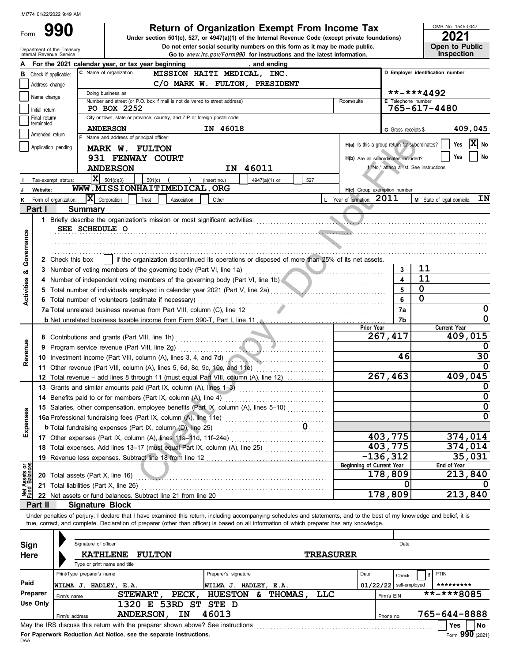## **Return of Organization Exempt From Income Tax**  $\frac{10018 N_{0.}1545 \cdot 0}{2021}$

Internal Revenue Service **Go to** www.irs.gov/Form990 **for instructions and the latest information.** Department of the Treasury Do not enter social security numbers on this form as it may be made public. **Under section 501(c), 527, or 4947(a)(1) of the Internal Revenue Code (except private foundations)** OMB No. 1545-0047

| LUL I |                       |
|-------|-----------------------|
|       | <b>Open to Public</b> |
|       | <b>Inspection</b>     |

|                                |                      | <u>UU IU MWW.NJ.UUWI UNINGO TULINGUUUUIS ANU ING TALGSL INIUNINAIUNI</u>                                                                                                                                                                  |                       |                       |                                               |                     |                                          |                     |
|--------------------------------|----------------------|-------------------------------------------------------------------------------------------------------------------------------------------------------------------------------------------------------------------------------------------|-----------------------|-----------------------|-----------------------------------------------|---------------------|------------------------------------------|---------------------|
|                                |                      | For the 2021 calendar year, or tax year beginning                                                                                                                                                                                         | , and ending          |                       |                                               |                     |                                          |                     |
| в                              | Check if applicable: | C Name of organization<br>MISSION HAITI MEDICAL, INC.                                                                                                                                                                                     |                       |                       |                                               |                     | D Employer identification number         |                     |
|                                | Address change       | C/O MARK W. FULTON, PRESIDENT                                                                                                                                                                                                             |                       |                       |                                               |                     |                                          |                     |
|                                |                      | Doing business as                                                                                                                                                                                                                         |                       |                       |                                               |                     | **-***4492                               |                     |
|                                | Name change          | Number and street (or P.O. box if mail is not delivered to street address)                                                                                                                                                                |                       |                       | Room/suite                                    | E Telephone number  |                                          |                     |
|                                | Initial return       | PO BOX 2252                                                                                                                                                                                                                               |                       |                       |                                               |                     | 765-617-4480                             |                     |
|                                | Final return/        | City or town, state or province, country, and ZIP or foreign postal code                                                                                                                                                                  |                       |                       |                                               |                     |                                          |                     |
|                                | terminated           | <b>ANDERSON</b>                                                                                                                                                                                                                           | IN 46018              |                       |                                               | G Gross receipts \$ |                                          | 409,045             |
|                                | Amended return       | F Name and address of principal officer:                                                                                                                                                                                                  |                       |                       |                                               |                     |                                          |                     |
|                                | Application pending  |                                                                                                                                                                                                                                           |                       |                       | H(a) Is this a group return for subordinates? |                     |                                          | $ X $ No<br>Yes     |
|                                |                      | MARK W. FULTON                                                                                                                                                                                                                            |                       |                       |                                               |                     |                                          | No<br>Yes           |
|                                |                      | 931 FENWAY COURT                                                                                                                                                                                                                          |                       |                       | H(b) Are all subordinates included?           |                     |                                          |                     |
|                                |                      | <b>ANDERSON</b>                                                                                                                                                                                                                           | IN 46011              |                       |                                               |                     | If "No," attach a list. See instructions |                     |
|                                |                      | $\mathbf{X}$ 501(c)(3)<br>501(c)<br>(insert no.)<br>Tax-exempt status:                                                                                                                                                                    | 4947(a)(1) or         | 527                   |                                               |                     |                                          |                     |
|                                | Website:             | WWW.MISSIONHAITIMEDICAL.ORG                                                                                                                                                                                                               |                       |                       | H(c) Group exemption number                   |                     |                                          |                     |
|                                |                      | $ \mathbf{X} $ Corporation<br>Form of organization:<br>Trust<br>Association<br>Other                                                                                                                                                      |                       |                       | L Year of formation: 2011                     |                     | M State of legal domicile:               | IN                  |
|                                | Part I               |                                                                                                                                                                                                                                           |                       |                       |                                               |                     |                                          |                     |
|                                |                      | <b>Summary</b>                                                                                                                                                                                                                            |                       |                       |                                               |                     |                                          |                     |
|                                |                      | 1 Briefly describe the organization's mission or most significant activities:                                                                                                                                                             |                       |                       |                                               |                     |                                          |                     |
|                                |                      | SEE SCHEDULE O                                                                                                                                                                                                                            |                       |                       |                                               |                     |                                          |                     |
|                                |                      |                                                                                                                                                                                                                                           |                       |                       |                                               |                     |                                          |                     |
| Governance                     |                      |                                                                                                                                                                                                                                           |                       |                       |                                               |                     |                                          |                     |
|                                |                      | if the organization discontinued its operations or disposed of more than 25% of its net assets.<br>2 Check this box                                                                                                                       |                       |                       |                                               |                     |                                          |                     |
|                                |                      |                                                                                                                                                                                                                                           |                       |                       |                                               | 3                   | 11                                       |                     |
| ఱ                              |                      | 3 Number of voting members of the governing body (Part VI, line 1a)                                                                                                                                                                       |                       |                       |                                               |                     |                                          |                     |
|                                |                      | 4 Number of independent voting members of the governing body (Part VI, line 1b)                                                                                                                                                           |                       |                       |                                               |                     | 11                                       |                     |
| <b>Activities</b>              |                      | 5 Total number of individuals employed in calendar year 2021 (Part V, line 2a)                                                                                                                                                            |                       |                       |                                               |                     | $\mathbf 0$                              |                     |
|                                |                      | 6 Total number of volunteers (estimate if necessary)                                                                                                                                                                                      |                       |                       |                                               | 6                   | $\mathbf 0$                              |                     |
|                                |                      |                                                                                                                                                                                                                                           |                       |                       |                                               | 7а                  |                                          | 0                   |
|                                |                      | <b>b</b> Net unrelated business taxable income from Form 990-T, Part I, line 11. <b>All and Internative Internative Internative Internative Internative Internative Internative Internative Internative Internative Internative Inter</b> |                       |                       |                                               | 7b                  |                                          | 0                   |
|                                |                      |                                                                                                                                                                                                                                           |                       |                       | Prior Year                                    |                     |                                          | <b>Current Year</b> |
|                                |                      |                                                                                                                                                                                                                                           |                       |                       | 267,417                                       |                     |                                          | 409,015             |
|                                |                      |                                                                                                                                                                                                                                           |                       |                       |                                               |                     |                                          | O                   |
| Revenue                        | 9                    |                                                                                                                                                                                                                                           |                       |                       |                                               |                     |                                          |                     |
|                                |                      | 10 Investment income (Part VIII, column (A), lines 3, 4, and 7d)                                                                                                                                                                          |                       |                       |                                               | 46                  |                                          | 30                  |
|                                |                      | 11 Other revenue (Part VIII, column (A), lines 5, 6d, 8c, 9c, 10c, and 11e)                                                                                                                                                               |                       |                       |                                               |                     |                                          |                     |
|                                |                      | 12 Total revenue – add lines 8 through 11 (must equal Part VIII, column (A), line 12)                                                                                                                                                     |                       |                       | 267,463                                       |                     |                                          | 409,045             |
|                                |                      | 13 Grants and similar amounts paid (Part IX, column (A), lines 1-3)                                                                                                                                                                       |                       |                       |                                               |                     |                                          |                     |
|                                |                      | 14 Benefits paid to or for members (Part IX, column (A), line 4)                                                                                                                                                                          |                       |                       |                                               |                     |                                          | 0                   |
|                                |                      | 15 Salaries, other compensation, employee benefits (Part IX, column (A), lines 5-10)                                                                                                                                                      |                       |                       |                                               |                     |                                          | 0                   |
| penses                         |                      |                                                                                                                                                                                                                                           |                       |                       |                                               |                     |                                          | 0                   |
|                                |                      | 16a Professional fundraising fees (Part IX, column (A), line 11e)                                                                                                                                                                         |                       |                       |                                               |                     |                                          |                     |
|                                |                      | <b>b</b> Total fundraising expenses (Part IX, column (D), line 25)                                                                                                                                                                        |                       | 0                     |                                               |                     |                                          |                     |
| மி                             |                      |                                                                                                                                                                                                                                           |                       |                       | 403,775                                       |                     |                                          | 374,014             |
|                                |                      | 18 Total expenses. Add lines 13-17 (must equal Part IX, column (A), line 25) [                                                                                                                                                            |                       |                       | 403,775                                       |                     |                                          | 374,014             |
|                                | 19                   | Revenue less expenses. Subtract line 18 from line 12                                                                                                                                                                                      |                       |                       | $-136, 312$                                   |                     |                                          | 35,031              |
|                                |                      |                                                                                                                                                                                                                                           |                       |                       | <b>Beginning of Current Year</b>              |                     |                                          | End of Year         |
| Net Assets or<br>Fund Balances |                      | 20 Total assets (Part X, line 16)                                                                                                                                                                                                         |                       |                       | 178,809                                       |                     |                                          | 213,840             |
|                                |                      | 21 Total liabilities (Part X, line 26)                                                                                                                                                                                                    |                       |                       |                                               | 0                   |                                          |                     |
|                                |                      |                                                                                                                                                                                                                                           |                       |                       | 178,809                                       |                     |                                          | 213,840             |
|                                | Part II              | <b>Signature Block</b>                                                                                                                                                                                                                    |                       |                       |                                               |                     |                                          |                     |
|                                |                      |                                                                                                                                                                                                                                           |                       |                       |                                               |                     |                                          |                     |
|                                |                      | Under penalties of perjury, I declare that I have examined this return, including accompanying schedules and statements, and to the best of my knowledge and belief, it is                                                                |                       |                       |                                               |                     |                                          |                     |
|                                |                      | true, correct, and complete. Declaration of preparer (other than officer) is based on all information of which preparer has any knowledge.                                                                                                |                       |                       |                                               |                     |                                          |                     |
|                                |                      |                                                                                                                                                                                                                                           |                       |                       |                                               |                     |                                          |                     |
| <b>Sign</b>                    |                      | Signature of officer                                                                                                                                                                                                                      |                       |                       |                                               | Date                |                                          |                     |
| Here                           |                      | <b>KATHLENE</b><br><b>FULTON</b>                                                                                                                                                                                                          |                       | TREASURER             |                                               |                     |                                          |                     |
|                                |                      | Type or print name and title                                                                                                                                                                                                              |                       |                       |                                               |                     |                                          |                     |
|                                |                      | Print/Type preparer's name                                                                                                                                                                                                                | Preparer's signature  |                       | Date                                          |                     | PTIN                                     |                     |
| Paid                           |                      |                                                                                                                                                                                                                                           |                       |                       |                                               | Check               | if                                       |                     |
|                                |                      | WILMA J. HADLEY, E.A.                                                                                                                                                                                                                     | WILMA J. HADLEY, E.A. |                       | $01/22/22$ self-employed                      |                     |                                          | *********           |
|                                | Preparer             | STEWART,<br>PECK,<br>Firm's name                                                                                                                                                                                                          | <b>HUESTON</b><br>&   | THOMAS,<br><b>TTC</b> |                                               | Firm's EIN          |                                          | **-***8085          |
|                                | <b>Use Only</b>      | 1320 E 53RD ST STE D                                                                                                                                                                                                                      |                       |                       |                                               |                     |                                          |                     |
|                                |                      | 46013<br>ANDERSON,<br>IN<br>Firm's address                                                                                                                                                                                                |                       |                       |                                               | Phone no.           |                                          | 765-644-8888        |
|                                |                      | May the IRS discuss this return with the preparer shown above? See instructions                                                                                                                                                           |                       |                       |                                               |                     |                                          | Yes<br>No           |

| Sign        | Signature of officer                            |                                                                                 |                      |                     | Date             |       |                          |                                        |  |  |  |  |
|-------------|-------------------------------------------------|---------------------------------------------------------------------------------|----------------------|---------------------|------------------|-------|--------------------------|----------------------------------------|--|--|--|--|
| <b>Here</b> | <b>KATHLENE</b><br>Type or print name and title | <b>FULTON</b>                                                                   |                      |                     | <b>TREASURER</b> |       |                          |                                        |  |  |  |  |
|             | Print/Type preparer's name                      |                                                                                 | Preparer's signature |                     | Date             | Check | if PTIN                  |                                        |  |  |  |  |
| Paid        | WILMA J.                                        | HADLEY, E.A.                                                                    | WILMA J.             | HADLEY, E.A.        |                  |       | $01/22/22$ self-employed | *********                              |  |  |  |  |
| Preparer    | Firm's name                                     | PECK,<br><b>STEWART</b>                                                         | <b>HUESTON</b>       | <b>THOMAS</b><br>s. | <b>LLC</b>       |       | Firm's EIN               | $\overline{***}\times\overline{*}8085$ |  |  |  |  |
| Use Only    |                                                 | 53RD ST<br>1320<br>E.                                                           | STE D                |                     |                  |       |                          |                                        |  |  |  |  |
|             | Firm's address                                  | IN<br><b>ANDERSON</b>                                                           | 46013                |                     |                  |       | Phone no.                | 765-644-8888                           |  |  |  |  |
|             |                                                 | May the IRS discuss this return with the preparer shown above? See instructions |                      |                     |                  |       |                          | <b>No</b><br><b>Yes</b>                |  |  |  |  |
|             |                                                 | For Paperwork Reduction Act Notice, see the separate instructions.              |                      |                     |                  |       |                          | $Form$ 990 (2021)                      |  |  |  |  |

DAA **For Paperwork Reduction Act Notice, see the separate instructions.**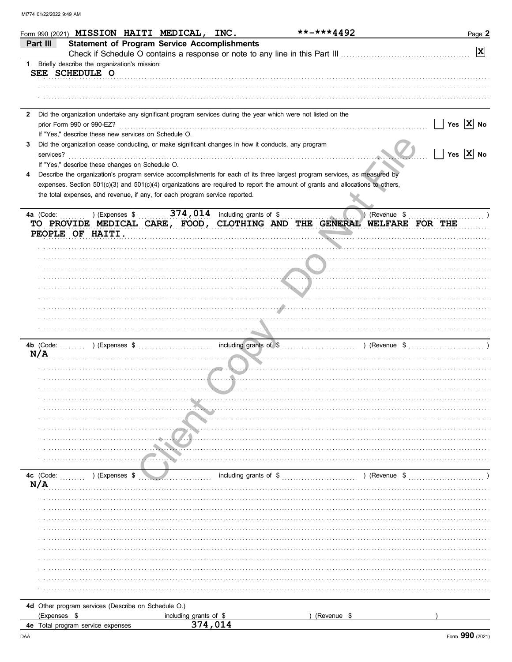|              |              |                                   |                |                                                     | Form 990 (2021) MISSION HAITI MEDICAL,                                      | INC.                            | **-***4492                                                                                                                     |               | Page 2                   |
|--------------|--------------|-----------------------------------|----------------|-----------------------------------------------------|-----------------------------------------------------------------------------|---------------------------------|--------------------------------------------------------------------------------------------------------------------------------|---------------|--------------------------|
|              | Part III     |                                   |                |                                                     | <b>Statement of Program Service Accomplishments</b>                         |                                 |                                                                                                                                |               |                          |
|              |              |                                   |                |                                                     |                                                                             |                                 |                                                                                                                                |               | $\vert x \vert$          |
|              |              |                                   |                | 1 Briefly describe the organization's mission:      |                                                                             |                                 |                                                                                                                                |               |                          |
|              |              | SEE SCHEDULE O                    |                |                                                     |                                                                             |                                 |                                                                                                                                |               |                          |
|              |              |                                   |                |                                                     |                                                                             |                                 |                                                                                                                                |               |                          |
|              |              |                                   |                |                                                     |                                                                             |                                 |                                                                                                                                |               |                          |
| $\mathbf{2}$ |              |                                   |                |                                                     |                                                                             |                                 | Did the organization undertake any significant program services during the year which were not listed on the                   |               |                          |
|              |              | prior Form 990 or 990-EZ?         |                |                                                     |                                                                             |                                 |                                                                                                                                |               | Yes $ X $ No             |
|              |              |                                   |                |                                                     | If "Yes," describe these new services on Schedule O.                        |                                 |                                                                                                                                |               |                          |
| 3            |              |                                   |                |                                                     |                                                                             |                                 | Did the organization cease conducting, or make significant changes in how it conducts, any program                             |               |                          |
|              | services?    |                                   |                |                                                     |                                                                             |                                 |                                                                                                                                |               | $\overline{X}$ No<br>Yes |
|              |              |                                   |                | If "Yes," describe these changes on Schedule O.     |                                                                             |                                 |                                                                                                                                |               |                          |
| 4            |              |                                   |                |                                                     |                                                                             |                                 | Describe the organization's program service accomplishments for each of its three largest program services, as measured by     |               |                          |
|              |              |                                   |                |                                                     | the total expenses, and revenue, if any, for each program service reported. |                                 | expenses. Section 501(c)(3) and 501(c)(4) organizations are required to report the amount of grants and allocations to others, |               |                          |
|              |              |                                   |                |                                                     |                                                                             |                                 |                                                                                                                                |               |                          |
|              | 4a (Code:    |                                   | ) (Expenses \$ |                                                     |                                                                             | 374, 014 including grants of \$ |                                                                                                                                | (Revenue \$   |                          |
|              |              |                                   |                |                                                     |                                                                             |                                 | TO PROVIDE MEDICAL CARE, FOOD, CLOTHING AND THE GENERAL WELFARE FOR THE                                                        |               |                          |
|              |              | PEOPLE OF HAITI.                  |                |                                                     |                                                                             |                                 |                                                                                                                                |               |                          |
|              |              |                                   |                |                                                     |                                                                             |                                 |                                                                                                                                |               |                          |
|              |              |                                   |                |                                                     |                                                                             |                                 |                                                                                                                                |               |                          |
|              |              |                                   |                |                                                     |                                                                             |                                 |                                                                                                                                |               |                          |
|              |              |                                   |                |                                                     |                                                                             |                                 |                                                                                                                                |               |                          |
|              |              |                                   |                |                                                     |                                                                             |                                 |                                                                                                                                |               |                          |
|              |              |                                   |                |                                                     |                                                                             |                                 |                                                                                                                                |               |                          |
|              |              |                                   |                |                                                     |                                                                             |                                 |                                                                                                                                |               |                          |
|              |              |                                   |                |                                                     |                                                                             |                                 |                                                                                                                                |               |                          |
|              |              |                                   |                |                                                     |                                                                             |                                 |                                                                                                                                |               |                          |
|              | 4b (Code:    |                                   |                |                                                     |                                                                             |                                 | including grants of \$ [1, 1, 2001, 2003, 2004, 2004, 2006, 2006, 2006, 2006, 2006, 2007, 2006, 2007, 2006, 200                |               |                          |
|              | N/A          |                                   |                |                                                     |                                                                             |                                 |                                                                                                                                |               |                          |
|              |              |                                   |                |                                                     |                                                                             |                                 |                                                                                                                                |               |                          |
|              |              |                                   |                |                                                     |                                                                             |                                 |                                                                                                                                |               |                          |
|              |              |                                   |                |                                                     |                                                                             |                                 |                                                                                                                                |               |                          |
|              |              |                                   |                |                                                     |                                                                             |                                 |                                                                                                                                |               |                          |
|              |              |                                   |                |                                                     |                                                                             |                                 |                                                                                                                                |               |                          |
|              |              |                                   |                |                                                     |                                                                             |                                 |                                                                                                                                |               |                          |
|              |              |                                   |                |                                                     |                                                                             |                                 |                                                                                                                                |               |                          |
|              |              |                                   |                |                                                     |                                                                             |                                 |                                                                                                                                |               |                          |
|              |              |                                   |                |                                                     |                                                                             |                                 |                                                                                                                                |               |                          |
|              |              |                                   |                |                                                     |                                                                             |                                 |                                                                                                                                |               |                          |
|              |              |                                   |                |                                                     |                                                                             |                                 |                                                                                                                                |               |                          |
|              | 4c (Code:    |                                   | ) (Expenses \$ |                                                     |                                                                             | including grants of \$          |                                                                                                                                | ) (Revenue \$ |                          |
|              | N/A          |                                   |                |                                                     |                                                                             |                                 |                                                                                                                                |               |                          |
|              |              |                                   |                |                                                     |                                                                             |                                 |                                                                                                                                |               |                          |
|              |              |                                   |                |                                                     |                                                                             |                                 |                                                                                                                                |               |                          |
|              |              |                                   |                |                                                     |                                                                             |                                 |                                                                                                                                |               |                          |
|              |              |                                   |                |                                                     |                                                                             |                                 |                                                                                                                                |               |                          |
|              |              |                                   |                |                                                     |                                                                             |                                 |                                                                                                                                |               |                          |
|              |              |                                   |                |                                                     |                                                                             |                                 |                                                                                                                                |               |                          |
|              |              |                                   |                |                                                     |                                                                             |                                 |                                                                                                                                |               |                          |
|              |              |                                   |                |                                                     |                                                                             |                                 |                                                                                                                                |               |                          |
|              |              |                                   |                |                                                     |                                                                             |                                 |                                                                                                                                |               |                          |
|              |              |                                   |                |                                                     |                                                                             |                                 |                                                                                                                                |               |                          |
|              |              |                                   |                | 4d Other program services (Describe on Schedule O.) |                                                                             |                                 |                                                                                                                                |               |                          |
|              | (Expenses \$ |                                   |                |                                                     | including grants of \$                                                      |                                 | (Revenue \$                                                                                                                    |               |                          |
|              |              | 4e Total program service expenses |                |                                                     |                                                                             | 374,014                         |                                                                                                                                |               |                          |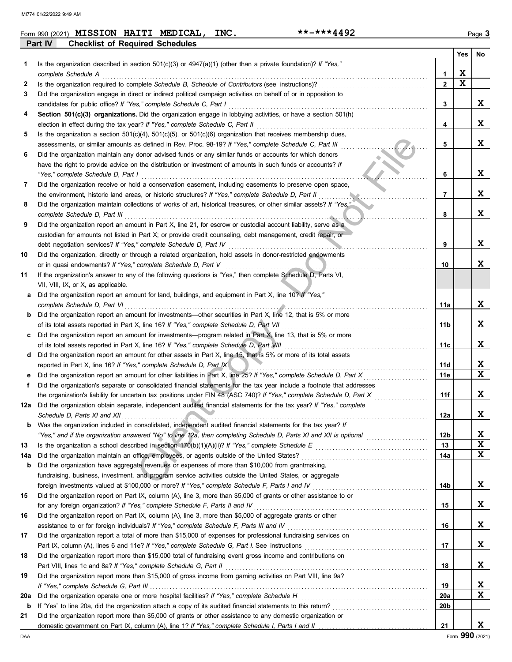|     | Part IV<br><b>Checklist of Required Schedules</b>                                                                       |                 |     |    |
|-----|-------------------------------------------------------------------------------------------------------------------------|-----------------|-----|----|
|     |                                                                                                                         |                 | Yes | No |
| 1.  | Is the organization described in section 501(c)(3) or 4947(a)(1) (other than a private foundation)? If "Yes,"           |                 |     |    |
|     | complete Schedule A                                                                                                     | 1               | X   |    |
| 2   | Is the organization required to complete Schedule B, Schedule of Contributors (see instructions)?                       | $\mathbf{2}$    | X   |    |
| 3   | Did the organization engage in direct or indirect political campaign activities on behalf of or in opposition to        |                 |     |    |
|     | candidates for public office? If "Yes," complete Schedule C, Part I                                                     | 3               |     | X  |
| 4   | Section 501(c)(3) organizations. Did the organization engage in lobbying activities, or have a section 501(h)           |                 |     |    |
|     | election in effect during the tax year? If "Yes," complete Schedule C, Part II                                          | 4               |     | X  |
| 5   | Is the organization a section $501(c)(4)$ , $501(c)(5)$ , or $501(c)(6)$ organization that receives membership dues,    |                 |     |    |
|     | assessments, or similar amounts as defined in Rev. Proc. 98-19? If "Yes," complete Schedule C, Part III                 | 5               |     | X  |
| 6   | Did the organization maintain any donor advised funds or any similar funds or accounts for which donors                 |                 |     |    |
|     | have the right to provide advice on the distribution or investment of amounts in such funds or accounts? If             |                 |     |    |
|     | "Yes," complete Schedule D, Part I                                                                                      | 6               |     | X  |
| 7   | Did the organization receive or hold a conservation easement, including easements to preserve open space,               |                 |     |    |
|     | the environment, historic land areas, or historic structures? If "Yes," complete Schedule D, Part II                    | 7               |     | X  |
| 8   | Did the organization maintain collections of works of art, historical treasures, or other similar assets? If "Yes,"     |                 |     |    |
|     | complete Schedule D, Part III                                                                                           | 8               |     | X  |
| 9   | Did the organization report an amount in Part X, line 21, for escrow or custodial account liability, serve as a         |                 |     |    |
|     | custodian for amounts not listed in Part X; or provide credit counseling, debt management, credit repair, or            |                 |     |    |
|     | debt negotiation services? If "Yes," complete Schedule D, Part IV                                                       | 9               |     | X  |
| 10  | Did the organization, directly or through a related organization, hold assets in donor-restricted endowments            |                 |     |    |
|     | or in quasi endowments? If "Yes," complete Schedule D, Part V                                                           | 10              |     | X  |
| 11  | If the organization's answer to any of the following questions is "Yes," then complete Schedule D, Parts VI,            |                 |     |    |
|     | VII, VIII, IX, or X, as applicable.                                                                                     |                 |     |    |
| а   | Did the organization report an amount for land, buildings, and equipment in Part X, line 10? If "Yes,"                  |                 |     |    |
|     | complete Schedule D, Part VI                                                                                            | 11a             |     | X  |
| b   | Did the organization report an amount for investments—other securities in Part X, line 12, that is 5% or more           |                 |     |    |
|     | of its total assets reported in Part X, line 16? If "Yes," complete Schedule D, Part VII                                | 11b             |     | X  |
|     | Did the organization report an amount for investments—program related in Part X, line 13, that is 5% or more            |                 |     |    |
|     | of its total assets reported in Part X, line 16? If "Yes," complete Schedule D, Part VIII                               | 11c             |     | X  |
| d   | Did the organization report an amount for other assets in Part X, line 15, that is 5% or more of its total assets       |                 |     |    |
|     | reported in Part X, line 16? If "Yes," complete Schedule D, Part IX                                                     | 11d             |     | X  |
|     | Did the organization report an amount for other liabilities in Part X, line 25? If "Yes," complete Schedule D, Part X   | 11e             |     | X  |
| f   | Did the organization's separate or consolidated financial statements for the tax year include a footnote that addresses |                 |     |    |
|     | the organization's liability for uncertain tax positions under FIN 48 (ASC 740)? If "Yes," complete Schedule D, Part X  | 11f             |     | X  |
|     | 12a Did the organization obtain separate, independent audited financial statements for the tax year? If "Yes," complete |                 |     |    |
|     |                                                                                                                         | 12a             |     | X  |
| b   | Was the organization included in consolidated, independent audited financial statements for the tax year? If            |                 |     |    |
|     |                                                                                                                         | 12 <sub>b</sub> |     | x  |
| 13  |                                                                                                                         | 13              |     | X  |
| 14a | Did the organization maintain an office, employees, or agents outside of the United States?                             | 14a             |     | X  |
| b   | Did the organization have aggregate revenues or expenses of more than \$10,000 from grantmaking,                        |                 |     |    |
|     | fundraising, business, investment, and program service activities outside the United States, or aggregate               |                 |     |    |
|     | foreign investments valued at \$100,000 or more? If "Yes," complete Schedule F, Parts I and IV [[[[[[[[[[[[[[[          | 14b             |     | X  |
| 15  | Did the organization report on Part IX, column (A), line 3, more than \$5,000 of grants or other assistance to or       |                 |     |    |
|     | for any foreign organization? If "Yes," complete Schedule F, Parts II and IV                                            | 15              |     | X  |
| 16  | Did the organization report on Part IX, column (A), line 3, more than \$5,000 of aggregate grants or other              |                 |     |    |
|     | assistance to or for foreign individuals? If "Yes," complete Schedule F, Parts III and IV                               | 16              |     | X  |
| 17  | Did the organization report a total of more than \$15,000 of expenses for professional fundraising services on          |                 |     |    |
|     |                                                                                                                         | 17              |     | X  |
| 18  | Did the organization report more than \$15,000 total of fundraising event gross income and contributions on             |                 |     |    |
|     | Part VIII, lines 1c and 8a? If "Yes," complete Schedule G, Part II                                                      | 18              |     | X  |
| 19  | Did the organization report more than \$15,000 of gross income from gaming activities on Part VIII, line 9a?            |                 |     |    |
|     |                                                                                                                         | 19              |     | x  |
| 20a |                                                                                                                         | 20a             |     | X  |
| b   |                                                                                                                         | 20b             |     |    |
| 21  | Did the organization report more than \$5,000 of grants or other assistance to any domestic organization or             |                 |     |    |
|     |                                                                                                                         | 21              |     | X  |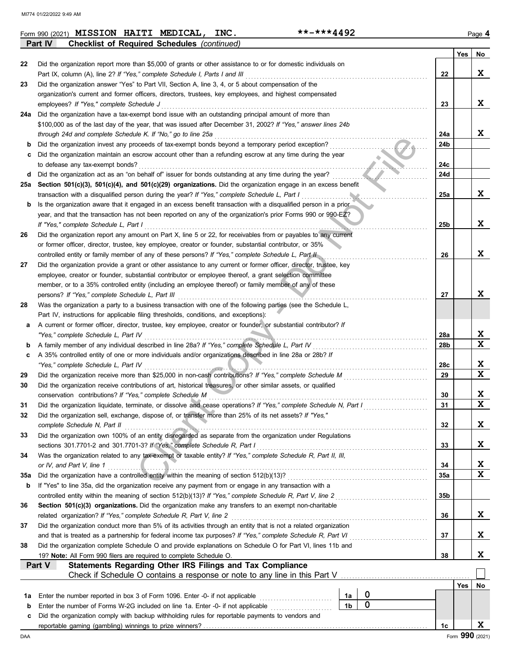| .-***4492<br>INC.<br><b>MISSION</b><br><b>HAITI</b><br><b>MEDICAL,</b><br>Form 990 (2021)<br>- 21<br>Page |
|-----------------------------------------------------------------------------------------------------------|
|-----------------------------------------------------------------------------------------------------------|

|     | Part IV<br>Checklist of Required Schedules (continued)                                                                                                                                                      |            |     |        |
|-----|-------------------------------------------------------------------------------------------------------------------------------------------------------------------------------------------------------------|------------|-----|--------|
|     |                                                                                                                                                                                                             |            | Yes | No     |
| 22  | Did the organization report more than \$5,000 of grants or other assistance to or for domestic individuals on                                                                                               |            |     |        |
|     | Part IX, column (A), line 2? If "Yes," complete Schedule I, Parts I and III                                                                                                                                 | 22         |     | X      |
| 23  | Did the organization answer "Yes" to Part VII, Section A, line 3, 4, or 5 about compensation of the                                                                                                         |            |     |        |
|     | organization's current and former officers, directors, trustees, key employees, and highest compensated                                                                                                     |            |     |        |
|     | employees? If "Yes," complete Schedule J                                                                                                                                                                    | 23         |     | X      |
| 24a | Did the organization have a tax-exempt bond issue with an outstanding principal amount of more than                                                                                                         |            |     |        |
|     | \$100,000 as of the last day of the year, that was issued after December 31, 2002? If "Yes," answer lines 24b<br>through 24d and complete Schedule K. If "No," go to line 25a                               | 24a        |     | x      |
| b   | Did the organization invest any proceeds of tax-exempt bonds beyond a temporary period exception?                                                                                                           | 24b        |     |        |
| с   | Did the organization maintain an escrow account other than a refunding escrow at any time during the year                                                                                                   |            |     |        |
|     | to defease any tax-exempt bonds?                                                                                                                                                                            | 24c        |     |        |
| d   | Did the organization act as an "on behalf of" issuer for bonds outstanding at any time during the year?                                                                                                     | 24d        |     |        |
| 25a | Section 501(c)(3), 501(c)(4), and 501(c)(29) organizations. Did the organization engage in an excess benefit                                                                                                |            |     |        |
|     | transaction with a disqualified person during the year? If "Yes," complete Schedule L, Part I                                                                                                               | 25a        |     | X      |
| b   | Is the organization aware that it engaged in an excess benefit transaction with a disqualified person in a prior                                                                                            |            |     |        |
|     | year, and that the transaction has not been reported on any of the organization's prior Forms 990 or 990-EZ?                                                                                                |            |     |        |
|     | If "Yes," complete Schedule L, Part I                                                                                                                                                                       | 25b        |     | x      |
| 26  | Did the organization report any amount on Part X, line 5 or 22, for receivables from or payables to any current                                                                                             |            |     |        |
|     | or former officer, director, trustee, key employee, creator or founder, substantial contributor, or 35%                                                                                                     |            |     |        |
|     | controlled entity or family member of any of these persons? If "Yes," complete Schedule L, Part II                                                                                                          | 26         |     | X      |
| 27  | Did the organization provide a grant or other assistance to any current or former officer, director, trustee, key                                                                                           |            |     |        |
|     | employee, creator or founder, substantial contributor or employee thereof, a grant selection committee                                                                                                      |            |     |        |
|     | member, or to a 35% controlled entity (including an employee thereof) or family member of any of these                                                                                                      |            |     |        |
|     | persons? If "Yes," complete Schedule L, Part III                                                                                                                                                            | 27         |     | x      |
| 28  | Was the organization a party to a business transaction with one of the following parties (see the Schedule L,                                                                                               |            |     |        |
|     | Part IV, instructions for applicable filing thresholds, conditions, and exceptions):                                                                                                                        |            |     |        |
| а   | A current or former officer, director, trustee, key employee, creator or founder, or substantial contributor? If                                                                                            |            |     |        |
|     | "Yes," complete Schedule L, Part IV                                                                                                                                                                         | 28a        |     | X<br>X |
| b   | A family member of any individual described in line 28a? If "Yes," complete Schedule L, Part IV<br>A 35% controlled entity of one or more individuals and/or organizations described in line 28a or 28b? If | 28b        |     |        |
| c   | "Yes," complete Schedule L, Part IV                                                                                                                                                                         | 28c        |     | X      |
| 29  | Did the organization receive more than \$25,000 in non-cash contributions? If "Yes," complete Schedule M                                                                                                    | 29         |     | Χ      |
| 30  | Did the organization receive contributions of art, historical treasures, or other similar assets, or qualified                                                                                              |            |     |        |
|     | conservation contributions? If "Yes," complete Schedule M                                                                                                                                                   | 30         |     | X      |
| 31  | Did the organization liquidate, terminate, or dissolve and cease operations? If "Yes," complete Schedule N, Part I                                                                                          | 31         |     | Χ      |
| 32  | Did the organization sell, exchange, dispose of, or transfer more than 25% of its net assets? If "Yes,"                                                                                                     |            |     |        |
|     | complete Schedule N, Part II                                                                                                                                                                                | 32         |     | X      |
| 33  | Did the organization own 100% of an entity disregarded as separate from the organization under Regulations                                                                                                  |            |     |        |
|     | sections 301.7701-2 and 301.7701-3? If "Yes," complete Schedule R, Part I                                                                                                                                   | 33         |     | X      |
| 34  | Was the organization related to any tax-exempt or taxable entity? If "Yes," complete Schedule R, Part II, III,                                                                                              |            |     |        |
|     | or IV, and Part V, line 1                                                                                                                                                                                   | 34         |     | X      |
| 35a | Did the organization have a controlled entity within the meaning of section 512(b)(13)?                                                                                                                     | <b>35a</b> |     | X      |
| b   | If "Yes" to line 35a, did the organization receive any payment from or engage in any transaction with a                                                                                                     |            |     |        |
|     | controlled entity within the meaning of section 512(b)(13)? If "Yes," complete Schedule R, Part V, line 2                                                                                                   | 35b        |     |        |
| 36  | Section 501(c)(3) organizations. Did the organization make any transfers to an exempt non-charitable                                                                                                        |            |     |        |
|     | related organization? If "Yes," complete Schedule R, Part V, line 2                                                                                                                                         | 36         |     | X      |
| 37  | Did the organization conduct more than 5% of its activities through an entity that is not a related organization                                                                                            |            |     |        |
|     | and that is treated as a partnership for federal income tax purposes? If "Yes," complete Schedule R, Part VI                                                                                                | 37         |     | X      |
| 38  | Did the organization complete Schedule O and provide explanations on Schedule O for Part VI, lines 11b and                                                                                                  |            |     | X      |
|     | 19? Note: All Form 990 filers are required to complete Schedule O.<br>Part V<br><b>Statements Regarding Other IRS Filings and Tax Compliance</b>                                                            | 38         |     |        |
|     |                                                                                                                                                                                                             |            |     |        |
|     |                                                                                                                                                                                                             |            | Yes | No     |
| 1a  | $\mathbf 0$<br>Enter the number reported in box 3 of Form 1096. Enter -0- if not applicable<br>1a                                                                                                           |            |     |        |
| b   | $\mathbf 0$<br>1 <sub>b</sub><br>Enter the number of Forms W-2G included on line 1a. Enter -0- if not applicable                                                                                            |            |     |        |
| c   | Did the organization comply with backup withholding rules for reportable payments to vendors and                                                                                                            |            |     |        |
|     |                                                                                                                                                                                                             | 1c         |     | X      |
|     |                                                                                                                                                                                                             |            |     |        |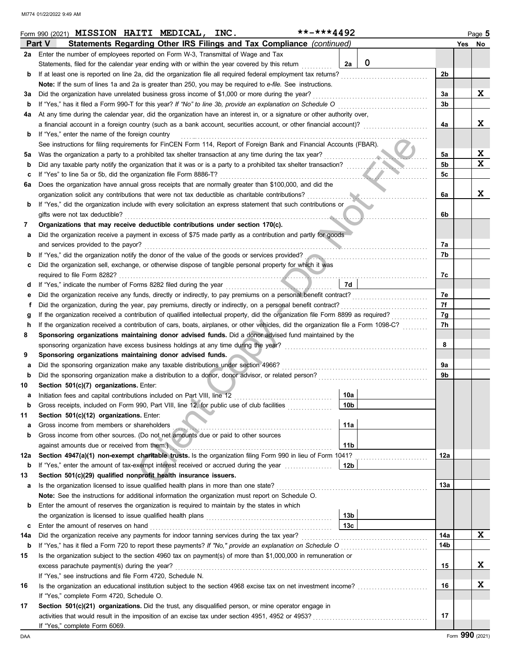|     |        | Form 990 (2021) MISSION HAITI MEDICAL, INC.                                                                                      |  |  |  | **-***4492 |                 |                                                                                                                                    |     | Page 5 |
|-----|--------|----------------------------------------------------------------------------------------------------------------------------------|--|--|--|------------|-----------------|------------------------------------------------------------------------------------------------------------------------------------|-----|--------|
|     | Part V | Statements Regarding Other IRS Filings and Tax Compliance (continued)                                                            |  |  |  |            |                 |                                                                                                                                    |     | Yes No |
| 2a  |        | Enter the number of employees reported on Form W-3, Transmittal of Wage and Tax                                                  |  |  |  |            |                 |                                                                                                                                    |     |        |
|     |        | Statements, filed for the calendar year ending with or within the year covered by this return                                    |  |  |  |            | 2a              | $\mathbf 0$                                                                                                                        |     |        |
| b   |        | If at least one is reported on line 2a, did the organization file all required federal employment tax returns?                   |  |  |  |            |                 |                                                                                                                                    | 2b  |        |
|     |        | Note: If the sum of lines 1a and 2a is greater than 250, you may be required to e-file. See instructions.                        |  |  |  |            |                 |                                                                                                                                    |     |        |
| за  |        | Did the organization have unrelated business gross income of \$1,000 or more during the year?                                    |  |  |  |            |                 |                                                                                                                                    | За  | X      |
| b   |        | If "Yes," has it filed a Form 990-T for this year? If "No" to line 3b, provide an explanation on Schedule O                      |  |  |  |            |                 |                                                                                                                                    | 3b  |        |
|     |        |                                                                                                                                  |  |  |  |            |                 |                                                                                                                                    |     |        |
| 4a  |        | At any time during the calendar year, did the organization have an interest in, or a signature or other authority over,          |  |  |  |            |                 |                                                                                                                                    |     | X      |
|     |        |                                                                                                                                  |  |  |  |            |                 | a financial account in a foreign country (such as a bank account, securities account, or other financial account)?                 | 4a  |        |
| b   |        | If "Yes," enter the name of the foreign country                                                                                  |  |  |  |            |                 |                                                                                                                                    |     |        |
|     |        | See instructions for filing requirements for FinCEN Form 114, Report of Foreign Bank and Financial Accounts (FBAR).              |  |  |  |            |                 |                                                                                                                                    |     |        |
| 5a  |        | Was the organization a party to a prohibited tax shelter transaction at any time during the tax year?                            |  |  |  |            |                 |                                                                                                                                    | 5a  | X      |
| b   |        | Did any taxable party notify the organization that it was or is a party to a prohibited tax shelter transaction?                 |  |  |  |            |                 |                                                                                                                                    | 5b  | X      |
| с   |        | If "Yes" to line 5a or 5b, did the organization file Form 8886-T?                                                                |  |  |  |            |                 |                                                                                                                                    | 5c  |        |
| 6а  |        | Does the organization have annual gross receipts that are normally greater than \$100,000, and did the                           |  |  |  |            |                 |                                                                                                                                    |     |        |
|     |        | organization solicit any contributions that were not tax deductible as charitable contributions?                                 |  |  |  |            |                 |                                                                                                                                    | 6a  | X      |
| b   |        | If "Yes," did the organization include with every solicitation an express statement that such contributions or                   |  |  |  |            |                 |                                                                                                                                    |     |        |
|     |        | gifts were not tax deductible?                                                                                                   |  |  |  |            |                 |                                                                                                                                    | 6b  |        |
| 7   |        | Organizations that may receive deductible contributions under section 170(c).                                                    |  |  |  |            |                 |                                                                                                                                    |     |        |
| а   |        | Did the organization receive a payment in excess of \$75 made partly as a contribution and partly for goods                      |  |  |  |            |                 |                                                                                                                                    |     |        |
|     |        | and services provided to the payor?                                                                                              |  |  |  |            |                 |                                                                                                                                    | 7а  |        |
| b   |        |                                                                                                                                  |  |  |  |            |                 | If "Yes," did the organization notify the donor of the value of the goods or services provided?                                    | 7b  |        |
| с   |        | Did the organization sell, exchange, or otherwise dispose of tangible personal property for which it was                         |  |  |  |            |                 |                                                                                                                                    |     |        |
|     |        | required to file Form 8282?                                                                                                      |  |  |  |            |                 |                                                                                                                                    | 7c  |        |
|     |        |                                                                                                                                  |  |  |  |            | 7d              |                                                                                                                                    |     |        |
| d   |        | If "Yes," indicate the number of Forms 8282 filed during the year                                                                |  |  |  |            |                 |                                                                                                                                    |     |        |
| е   |        | Did the organization receive any funds, directly or indirectly, to pay premiums on a personal benefit contract?                  |  |  |  |            |                 | <u> 1986 - Johann Stoff, martin a</u>                                                                                              | 7е  |        |
| f   |        | Did the organization, during the year, pay premiums, directly or indirectly, on a personal benefit contract?                     |  |  |  |            |                 |                                                                                                                                    | 7f  |        |
| g   |        | If the organization received a contribution of qualified intellectual property, did the organization file Form 8899 as required? |  |  |  |            |                 |                                                                                                                                    | 7g  |        |
| h   |        |                                                                                                                                  |  |  |  |            |                 | If the organization received a contribution of cars, boats, airplanes, or other vehicles, did the organization file a Form 1098-C? | 7h  |        |
| 8   |        | Sponsoring organizations maintaining donor advised funds. Did a donor advised fund maintained by the                             |  |  |  |            |                 |                                                                                                                                    |     |        |
|     |        | sponsoring organization have excess business holdings at any time during the year?                                               |  |  |  |            |                 |                                                                                                                                    | 8   |        |
| 9   |        | Sponsoring organizations maintaining donor advised funds.                                                                        |  |  |  |            |                 |                                                                                                                                    |     |        |
| а   |        | Did the sponsoring organization make any taxable distributions under section 4966?                                               |  |  |  |            |                 |                                                                                                                                    | 9a  |        |
| b   |        | Did the sponsoring organization make a distribution to a donor, donor advisor, or related person?                                |  |  |  |            |                 |                                                                                                                                    | 9b  |        |
| 10  |        | Section 501(c)(7) organizations. Enter:                                                                                          |  |  |  |            |                 |                                                                                                                                    |     |        |
| а   |        | Initiation fees and capital contributions included on Part VIII, line 12                                                         |  |  |  |            | 10a             |                                                                                                                                    |     |        |
|     |        | Gross receipts, included on Form 990, Part VIII, line 12, for public use of club facilities                                      |  |  |  |            | 10 <sub>b</sub> |                                                                                                                                    |     |        |
| 11  |        | Section 501(c)(12) organizations. Enter:                                                                                         |  |  |  |            |                 |                                                                                                                                    |     |        |
| а   |        | Gross income from members or shareholders                                                                                        |  |  |  |            | 11a             |                                                                                                                                    |     |        |
| b   |        | Gross income from other sources. (Do not net amounts due or paid to other sources                                                |  |  |  |            |                 |                                                                                                                                    |     |        |
|     |        | against amounts due or received from them.)                                                                                      |  |  |  |            | 11 <sub>b</sub> |                                                                                                                                    |     |        |
|     |        |                                                                                                                                  |  |  |  |            |                 |                                                                                                                                    |     |        |
| 12a |        | Section 4947(a)(1) non-exempt charitable trusts. Is the organization filing Form 990 in lieu of Form 1041?                       |  |  |  |            |                 |                                                                                                                                    | 12a |        |
| b   |        | If "Yes," enter the amount of tax-exempt interest received or accrued during the year conservation                               |  |  |  |            | 12b             |                                                                                                                                    |     |        |
| 13  |        | Section 501(c)(29) qualified nonprofit health insurance issuers.                                                                 |  |  |  |            |                 |                                                                                                                                    |     |        |
| а   |        | Is the organization licensed to issue qualified health plans in more than one state?                                             |  |  |  |            |                 |                                                                                                                                    | 13a |        |
|     |        | Note: See the instructions for additional information the organization must report on Schedule O.                                |  |  |  |            |                 |                                                                                                                                    |     |        |
| b   |        | Enter the amount of reserves the organization is required to maintain by the states in which                                     |  |  |  |            |                 |                                                                                                                                    |     |        |
|     |        |                                                                                                                                  |  |  |  |            | 13 <sub>b</sub> |                                                                                                                                    |     |        |
| c   |        | Enter the amount of reserves on hand                                                                                             |  |  |  |            | 13 <sub>c</sub> |                                                                                                                                    |     |        |
| 14a |        | Did the organization receive any payments for indoor tanning services during the tax year?                                       |  |  |  |            |                 |                                                                                                                                    | 14a | X      |
| b   |        |                                                                                                                                  |  |  |  |            |                 | If "Yes," has it filed a Form 720 to report these payments? If "No," provide an explanation on Schedule O                          | 14b |        |
| 15  |        | Is the organization subject to the section 4960 tax on payment(s) of more than \$1,000,000 in remuneration or                    |  |  |  |            |                 |                                                                                                                                    |     |        |
|     |        | excess parachute payment(s) during the year?                                                                                     |  |  |  |            |                 |                                                                                                                                    | 15  | X      |
|     |        | If "Yes," see instructions and file Form 4720, Schedule N.                                                                       |  |  |  |            |                 |                                                                                                                                    |     |        |
| 16  |        |                                                                                                                                  |  |  |  |            |                 |                                                                                                                                    | 16  | X      |
|     |        | If "Yes," complete Form 4720, Schedule O.                                                                                        |  |  |  |            |                 |                                                                                                                                    |     |        |
|     |        |                                                                                                                                  |  |  |  |            |                 |                                                                                                                                    |     |        |
| 17  |        | Section 501(c)(21) organizations. Did the trust, any disqualified person, or mine operator engage in                             |  |  |  |            |                 |                                                                                                                                    |     |        |
|     |        |                                                                                                                                  |  |  |  |            |                 |                                                                                                                                    | 17  |        |
|     |        | If "Yes," complete Form 6069.                                                                                                    |  |  |  |            |                 |                                                                                                                                    |     |        |

DAA Form **990** (2021)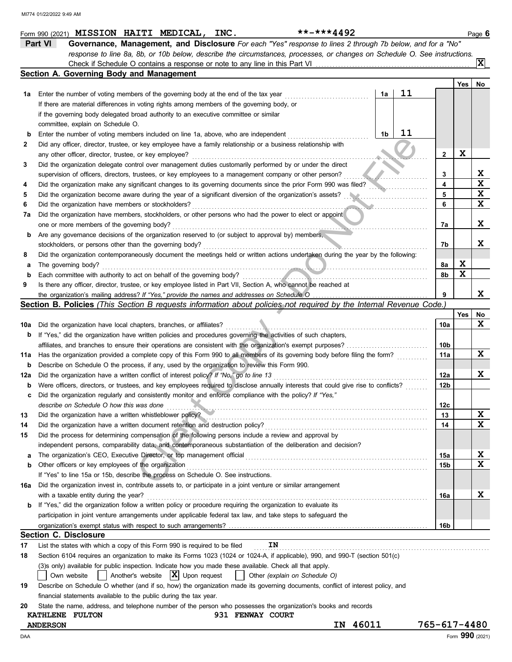|     | **-***4492<br>Form 990 (2021) MISSION HAITI MEDICAL, INC.                                                                           |                 |     | Page 6 |
|-----|-------------------------------------------------------------------------------------------------------------------------------------|-----------------|-----|--------|
|     | Part VI<br>Governance, Management, and Disclosure For each "Yes" response to lines 2 through 7b below, and for a "No"               |                 |     |        |
|     | response to line 8a, 8b, or 10b below, describe the circumstances, processes, or changes on Schedule O. See instructions.           |                 |     |        |
|     |                                                                                                                                     |                 |     | lxl    |
|     | Section A. Governing Body and Management                                                                                            |                 |     |        |
|     |                                                                                                                                     |                 | Yes | No     |
| 1a  | 11<br>1a<br>Enter the number of voting members of the governing body at the end of the tax year                                     |                 |     |        |
|     | If there are material differences in voting rights among members of the governing body, or                                          |                 |     |        |
|     | if the governing body delegated broad authority to an executive committee or similar                                                |                 |     |        |
|     | committee, explain on Schedule O.                                                                                                   |                 |     |        |
| b   | 11<br>1b<br>Enter the number of voting members included on line 1a, above, who are independent                                      |                 |     |        |
| 2   | Did any officer, director, trustee, or key employee have a family relationship or a business relationship with                      |                 |     |        |
|     | any other officer, director, trustee, or key employee?                                                                              | $\mathbf{2}$    | X   |        |
|     | Did the organization delegate control over management duties customarily performed by or under the direct                           |                 |     |        |
| З   |                                                                                                                                     |                 |     | X      |
|     | supervision of officers, directors, trustees, or key employees to a management company or other person?                             | 3               |     | X      |
| 4   | Did the organization make any significant changes to its governing documents since the prior Form 990 was filed?                    | 4               |     |        |
| 5   | Did the organization become aware during the year of a significant diversion of the organization's assets?                          | 5               |     | X      |
| 6   | Did the organization have members or stockholders?                                                                                  | 6               |     | X      |
| 7а  | Did the organization have members, stockholders, or other persons who had the power to elect or appoint                             |                 |     |        |
|     | one or more members of the governing body?                                                                                          | 7a              |     | x      |
| b   | Are any governance decisions of the organization reserved to (or subject to approval by) members,                                   |                 |     |        |
|     | stockholders, or persons other than the governing body?                                                                             | 7b              |     | X      |
| 8   | Did the organization contemporaneously document the meetings held or written actions undertaken during the year by the following:   |                 |     |        |
| а   | The governing body?                                                                                                                 | 8a              | X   |        |
| b   | Each committee with authority to act on behalf of the governing body?                                                               | 8b              | X   |        |
| 9   | Is there any officer, director, trustee, or key employee listed in Part VII, Section A, who cannot be reached at                    |                 |     |        |
|     |                                                                                                                                     |                 |     | x      |
|     | <b>Section B. Policies</b> (This Section B requests information about policies not required by the Internal Revenue Code.)          |                 |     |        |
|     |                                                                                                                                     |                 | Yes | No     |
| 10a | Did the organization have local chapters, branches, or affiliates?                                                                  | 10a             |     | x      |
| b   | If "Yes," did the organization have written policies and procedures governing the activities of such chapters,                      |                 |     |        |
|     | affiliates, and branches to ensure their operations are consistent with the organization's exempt purposes?                         | 10b             |     |        |
| 11a | Has the organization provided a complete copy of this Form 990 to all members of its governing body before filing the form?         | 11a             |     | X      |
| b   | Describe on Schedule O the process, if any, used by the organization to review this Form 990.                                       |                 |     |        |
| 12a | Did the organization have a written conflict of interest policy? If "No," go to line 13                                             | 12a             |     | Χ      |
| b   | Were officers, directors, or trustees, and key employees required to disclose annually interests that could give rise to conflicts? | 12 <sub>b</sub> |     |        |
|     | Did the organization regularly and consistently monitor and enforce compliance with the policy? If "Yes,"                           |                 |     |        |
|     | describe on Schedule O how this was done                                                                                            | 12с             |     |        |
| 13  | Did the organization have a written whistleblower policy?                                                                           | 13              |     | X      |
| 14  | Did the organization have a written document retention and destruction policy?                                                      | 14              |     | X      |
| 15  | Did the process for determining compensation of the following persons include a review and approval by                              |                 |     |        |
|     | independent persons, comparability data, and contemporaneous substantiation of the deliberation and decision?                       |                 |     |        |
| а   | The organization's CEO, Executive Director, or top management official                                                              | 15a             |     | X      |
| b   | Other officers or key employees of the organization                                                                                 | 15b             |     | X      |
|     | If "Yes" to line 15a or 15b, describe the process on Schedule O. See instructions.                                                  |                 |     |        |
|     | Did the organization invest in, contribute assets to, or participate in a joint venture or similar arrangement                      |                 |     |        |
| 16a |                                                                                                                                     |                 |     | X      |
|     | with a taxable entity during the year?                                                                                              | 16a             |     |        |
| b   | If "Yes," did the organization follow a written policy or procedure requiring the organization to evaluate its                      |                 |     |        |
|     | participation in joint venture arrangements under applicable federal tax law, and take steps to safeguard the                       |                 |     |        |
|     |                                                                                                                                     | 16b             |     |        |
|     | <b>Section C. Disclosure</b>                                                                                                        |                 |     |        |
| 17  | List the states with which a copy of this Form 990 is required to be filed<br>IN                                                    |                 |     |        |
| 18  | Section 6104 requires an organization to make its Forms 1023 (1024 or 1024-A, if applicable), 990, and 990-T (section 501(c)        |                 |     |        |
|     | (3) sonly) available for public inspection. Indicate how you made these available. Check all that apply.                            |                 |     |        |
|     | $ \mathbf{X} $ Upon request<br>Another's website<br>Own website<br>Other (explain on Schedule O)                                    |                 |     |        |
| 19  | Describe on Schedule O whether (and if so, how) the organization made its governing documents, conflict of interest policy, and     |                 |     |        |
|     | financial statements available to the public during the tax year.                                                                   |                 |     |        |
| 20  | State the name, address, and telephone number of the person who possesses the organization's books and records                      |                 |     |        |
|     | 931 FENWAY COURT<br>KATHLENE FULTON                                                                                                 |                 |     |        |
|     | 46011<br>ΙN<br><b>ANDERSON</b>                                                                                                      | 765-617-4480    |     |        |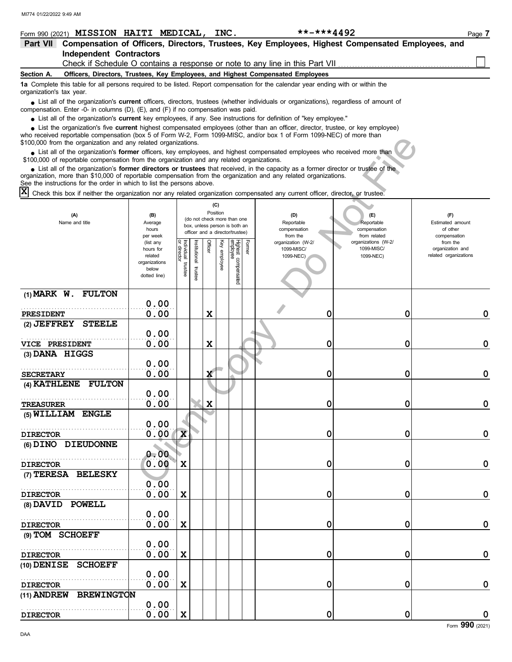| Form 990 (2021) MISSION HAITI MEDICAL,                                                                                                                                                                                                                                                                                                  |                        |                   |                         |                                                              |              | INC.            |             |        | **-***4492                                                                                       |                                   | Page 7                       |
|-----------------------------------------------------------------------------------------------------------------------------------------------------------------------------------------------------------------------------------------------------------------------------------------------------------------------------------------|------------------------|-------------------|-------------------------|--------------------------------------------------------------|--------------|-----------------|-------------|--------|--------------------------------------------------------------------------------------------------|-----------------------------------|------------------------------|
| <b>Part VII</b>                                                                                                                                                                                                                                                                                                                         |                        |                   |                         |                                                              |              |                 |             |        | Compensation of Officers, Directors, Trustees, Key Employees, Highest Compensated Employees, and |                                   |                              |
| <b>Independent Contractors</b>                                                                                                                                                                                                                                                                                                          |                        |                   |                         |                                                              |              |                 |             |        |                                                                                                  |                                   |                              |
|                                                                                                                                                                                                                                                                                                                                         |                        |                   |                         |                                                              |              |                 |             |        | Check if Schedule O contains a response or note to any line in this Part VII                     |                                   |                              |
| Section A.                                                                                                                                                                                                                                                                                                                              |                        |                   |                         |                                                              |              |                 |             |        | Officers, Directors, Trustees, Key Employees, and Highest Compensated Employees                  |                                   |                              |
| 1a Complete this table for all persons required to be listed. Report compensation for the calendar year ending with or within the<br>organization's tax year.                                                                                                                                                                           |                        |                   |                         |                                                              |              |                 |             |        |                                                                                                  |                                   |                              |
| List all of the organization's <b>current</b> officers, directors, trustees (whether individuals or organizations), regardless of amount of<br>compensation. Enter -0- in columns (D), (E), and (F) if no compensation was paid.                                                                                                        |                        |                   |                         |                                                              |              |                 |             |        |                                                                                                  |                                   |                              |
| • List all of the organization's current key employees, if any. See instructions for definition of "key employee."                                                                                                                                                                                                                      |                        |                   |                         |                                                              |              |                 |             |        |                                                                                                  |                                   |                              |
| List the organization's five current highest compensated employees (other than an officer, director, trustee, or key employee)<br>who received reportable compensation (box 5 of Form W-2, Form 1099-MISC, and/or box 1 of Form 1099-NEC) of more than<br>\$100,000 from the organization and any related organizations.                |                        |                   |                         |                                                              |              |                 |             |        |                                                                                                  |                                   |                              |
| List all of the organization's former officers, key employees, and highest compensated employees who received more than<br>\$100,000 of reportable compensation from the organization and any related organizations.                                                                                                                    |                        |                   |                         |                                                              |              |                 |             |        |                                                                                                  |                                   |                              |
| • List all of the organization's former directors or trustees that received, in the capacity as a former director or trustee of the<br>organization, more than \$10,000 of reportable compensation from the organization and any related organizations.<br>See the instructions for the order in which to list the persons above.<br>ΙX |                        |                   |                         |                                                              |              |                 |             |        |                                                                                                  |                                   |                              |
| Check this box if neither the organization nor any related organization compensated any current officer, director, or trustee.                                                                                                                                                                                                          |                        |                   |                         |                                                              |              |                 |             |        |                                                                                                  |                                   |                              |
| (A)<br>Name and title                                                                                                                                                                                                                                                                                                                   | (B)<br>Average         |                   |                         | (do not check more than one<br>box, unless person is both an |              | (C)<br>Position |             |        | (D)<br>Reportable                                                                                | (E)<br>Reportable                 | (F)<br>Estimated amount      |
|                                                                                                                                                                                                                                                                                                                                         | hours<br>per week      |                   |                         | officer and a director/trustee)                              |              |                 |             |        | compensation<br>from the                                                                         | compensation<br>from related      | of other<br>compensation     |
|                                                                                                                                                                                                                                                                                                                                         | (list any<br>hours for |                   |                         |                                                              | Officer      |                 | Highest o   | Former | organization (W-2/<br>1099-MISC/                                                                 | organizations (W-2/<br>1099-MISC/ | from the<br>organization and |
|                                                                                                                                                                                                                                                                                                                                         | related                |                   |                         | nstitutional                                                 |              | Key employee    |             |        | 1099-NEC)                                                                                        | 1099-NEC)                         | related organizations        |
|                                                                                                                                                                                                                                                                                                                                         | organizations<br>below |                   | Individual trustee      |                                                              |              |                 |             |        |                                                                                                  |                                   |                              |
|                                                                                                                                                                                                                                                                                                                                         | dotted line)           |                   |                         | trustee                                                      |              |                 | compensated |        |                                                                                                  |                                   |                              |
|                                                                                                                                                                                                                                                                                                                                         |                        |                   |                         |                                                              |              |                 |             |        |                                                                                                  |                                   |                              |
| $(1)$ MARK W. FULTON                                                                                                                                                                                                                                                                                                                    |                        | 0.00              |                         |                                                              |              |                 |             |        |                                                                                                  |                                   |                              |
| <b>PRESIDENT</b>                                                                                                                                                                                                                                                                                                                        |                        | 0.00              |                         |                                                              | X            |                 |             |        | 0                                                                                                | 0                                 | 0                            |
| <b>STEELE</b><br>$(2)$ JEFFREY                                                                                                                                                                                                                                                                                                          |                        |                   |                         |                                                              |              |                 |             |        |                                                                                                  |                                   |                              |
|                                                                                                                                                                                                                                                                                                                                         |                        | 0.00              |                         |                                                              |              |                 |             |        |                                                                                                  |                                   |                              |
| VICE PRESIDENT                                                                                                                                                                                                                                                                                                                          |                        | 0.00              |                         |                                                              | X            |                 |             |        | 0                                                                                                | 0                                 | 0                            |
| (3) DANA HIGGS                                                                                                                                                                                                                                                                                                                          |                        |                   |                         |                                                              |              |                 |             |        |                                                                                                  |                                   |                              |
|                                                                                                                                                                                                                                                                                                                                         |                        | 0.00              |                         |                                                              |              |                 |             |        |                                                                                                  |                                   |                              |
| <b>SECRETARY</b>                                                                                                                                                                                                                                                                                                                        |                        | 0.00              |                         |                                                              | X            |                 |             |        | 0                                                                                                | 0                                 | 0                            |
| <b>FULTON</b><br>(4) KATHLENE                                                                                                                                                                                                                                                                                                           |                        |                   |                         |                                                              |              |                 |             |        |                                                                                                  |                                   |                              |
|                                                                                                                                                                                                                                                                                                                                         |                        | 0.00              |                         |                                                              |              |                 |             |        |                                                                                                  |                                   |                              |
| <b>TREASURER</b>                                                                                                                                                                                                                                                                                                                        |                        | 0.00              |                         |                                                              | $\mathbf{v}$ |                 |             |        | 0                                                                                                | 0                                 | 0                            |
| (5) WILLIAM ENGLE                                                                                                                                                                                                                                                                                                                       |                        |                   |                         |                                                              |              |                 |             |        |                                                                                                  |                                   |                              |
|                                                                                                                                                                                                                                                                                                                                         |                        | 0.00              |                         |                                                              |              |                 |             |        |                                                                                                  |                                   |                              |
| <b>DIRECTOR</b><br>(6) DINO DIEUDONNE                                                                                                                                                                                                                                                                                                   |                        | 0.00 <sub>1</sub> | $\overline{\mathbf{x}}$ |                                                              |              |                 |             |        | 0                                                                                                | 0                                 | $\pmb{0}$                    |
|                                                                                                                                                                                                                                                                                                                                         |                        | 0.00              |                         |                                                              |              |                 |             |        |                                                                                                  |                                   |                              |
| <b>DIRECTOR</b>                                                                                                                                                                                                                                                                                                                         |                        | 0.00              | X                       |                                                              |              |                 |             |        | 0                                                                                                | 0                                 | $\mathbf 0$                  |
| (7) TERESA BELESKY                                                                                                                                                                                                                                                                                                                      |                        |                   |                         |                                                              |              |                 |             |        |                                                                                                  |                                   |                              |
|                                                                                                                                                                                                                                                                                                                                         |                        | 0.00              |                         |                                                              |              |                 |             |        |                                                                                                  |                                   |                              |
| <b>DIRECTOR</b>                                                                                                                                                                                                                                                                                                                         |                        | 0.00              | Χ                       |                                                              |              |                 |             |        | 0                                                                                                | 0                                 | $\pmb{0}$                    |
| (8) DAVID POWELL                                                                                                                                                                                                                                                                                                                        |                        |                   |                         |                                                              |              |                 |             |        |                                                                                                  |                                   |                              |
|                                                                                                                                                                                                                                                                                                                                         |                        | 0.00              |                         |                                                              |              |                 |             |        |                                                                                                  |                                   |                              |
| <b>DIRECTOR</b>                                                                                                                                                                                                                                                                                                                         |                        | 0.00              | Χ                       |                                                              |              |                 |             |        | 0                                                                                                | 0                                 | $\mathbf 0$                  |
| (9) TOM SCHOEFF                                                                                                                                                                                                                                                                                                                         |                        |                   |                         |                                                              |              |                 |             |        |                                                                                                  |                                   |                              |
|                                                                                                                                                                                                                                                                                                                                         |                        | 0.00              |                         |                                                              |              |                 |             |        |                                                                                                  |                                   |                              |
| <b>DIRECTOR</b>                                                                                                                                                                                                                                                                                                                         |                        | 0.00              | Χ                       |                                                              |              |                 |             |        | 0                                                                                                | 0                                 | $\mathbf 0$                  |
| (10) DENISE SCHOEFF                                                                                                                                                                                                                                                                                                                     |                        |                   |                         |                                                              |              |                 |             |        |                                                                                                  |                                   |                              |
|                                                                                                                                                                                                                                                                                                                                         |                        | 0.00              |                         |                                                              |              |                 |             |        |                                                                                                  |                                   |                              |
| <b>DIRECTOR</b>                                                                                                                                                                                                                                                                                                                         |                        | 0.00              | Χ                       |                                                              |              |                 |             |        | 0                                                                                                | 0                                 | $\mathbf 0$                  |
| (11) ANDREW BREWINGTON                                                                                                                                                                                                                                                                                                                  |                        |                   |                         |                                                              |              |                 |             |        |                                                                                                  |                                   |                              |
|                                                                                                                                                                                                                                                                                                                                         |                        | 0.00              |                         |                                                              |              |                 |             |        |                                                                                                  |                                   |                              |
| <b>DIRECTOR</b>                                                                                                                                                                                                                                                                                                                         |                        | 0.00              | X                       |                                                              |              |                 |             |        | 0                                                                                                | $\mathbf 0$                       | $\mathbf 0$                  |

Form **990** (2021)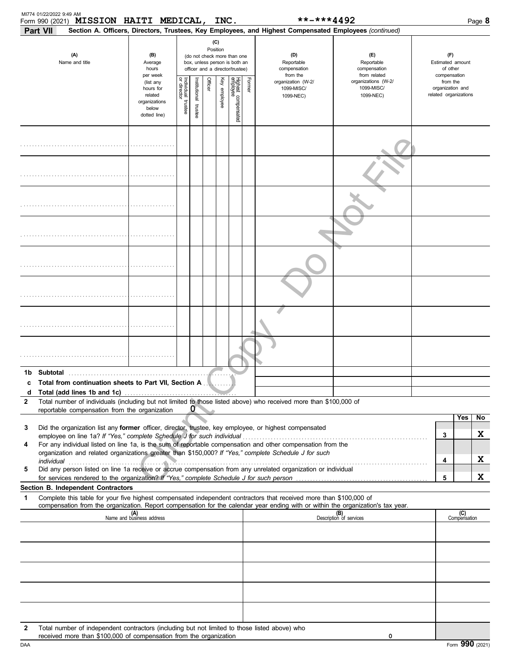| Form 990 (2021) MISSION HAITI MEDICAL,<br>Part VII           |                                               |                                                                                          |                                                                                                                    |                         |         | INC.         |                                 |        | **-***4492<br>Section A. Officers, Directors, Trustees, Key Employees, and Highest Compensated Employees (continued)                                                                                                                                                                                                                                                                                                        |                                                   |                                                     |                                                       |                     | Page 8  |
|--------------------------------------------------------------|-----------------------------------------------|------------------------------------------------------------------------------------------|--------------------------------------------------------------------------------------------------------------------|-------------------------|---------|--------------|---------------------------------|--------|-----------------------------------------------------------------------------------------------------------------------------------------------------------------------------------------------------------------------------------------------------------------------------------------------------------------------------------------------------------------------------------------------------------------------------|---------------------------------------------------|-----------------------------------------------------|-------------------------------------------------------|---------------------|---------|
| (A)<br>Name and title                                        |                                               | (B)<br>Average<br>hours<br>per week                                                      | (C)<br>Position<br>(do not check more than one<br>box, unless person is both an<br>officer and a director/trustee) |                         |         |              |                                 |        | (D)<br>Reportable<br>compensation<br>from the                                                                                                                                                                                                                                                                                                                                                                               | (F)<br>Reportable<br>compensation<br>from related | (F)<br>Estimated amount<br>of other<br>compensation |                                                       |                     |         |
|                                                              |                                               | (list any<br>hours for<br>related<br>organizations<br>below<br>dotted line)              | Individual trustee<br>or director                                                                                  | nstitutional<br>trustee | Officer | Key employee | Highest compensated<br>employee | Former | organization (W-2/<br>1099-MISC/<br>1099-NEC)                                                                                                                                                                                                                                                                                                                                                                               | organizations (W-2/<br>1099-MISC/<br>1099-NEC)    |                                                     | from the<br>organization and<br>related organizations |                     |         |
|                                                              |                                               |                                                                                          |                                                                                                                    |                         |         |              |                                 |        |                                                                                                                                                                                                                                                                                                                                                                                                                             |                                                   |                                                     |                                                       |                     |         |
|                                                              |                                               |                                                                                          |                                                                                                                    |                         |         |              |                                 |        |                                                                                                                                                                                                                                                                                                                                                                                                                             |                                                   |                                                     |                                                       |                     |         |
|                                                              |                                               |                                                                                          |                                                                                                                    |                         |         |              |                                 |        |                                                                                                                                                                                                                                                                                                                                                                                                                             |                                                   |                                                     |                                                       |                     |         |
|                                                              |                                               |                                                                                          |                                                                                                                    |                         |         |              |                                 |        |                                                                                                                                                                                                                                                                                                                                                                                                                             |                                                   |                                                     |                                                       |                     |         |
|                                                              |                                               |                                                                                          |                                                                                                                    |                         |         |              |                                 |        |                                                                                                                                                                                                                                                                                                                                                                                                                             |                                                   |                                                     |                                                       |                     |         |
|                                                              |                                               |                                                                                          |                                                                                                                    |                         |         |              |                                 |        |                                                                                                                                                                                                                                                                                                                                                                                                                             |                                                   |                                                     |                                                       |                     |         |
|                                                              |                                               |                                                                                          |                                                                                                                    |                         |         |              |                                 |        |                                                                                                                                                                                                                                                                                                                                                                                                                             |                                                   |                                                     |                                                       |                     |         |
|                                                              |                                               |                                                                                          |                                                                                                                    |                         |         |              |                                 |        |                                                                                                                                                                                                                                                                                                                                                                                                                             |                                                   |                                                     |                                                       |                     |         |
| c Total from continuation sheets to Part VII, Section A<br>d |                                               |                                                                                          |                                                                                                                    |                         |         |              |                                 |        |                                                                                                                                                                                                                                                                                                                                                                                                                             |                                                   |                                                     |                                                       |                     |         |
| 2                                                            | reportable compensation from the organization |                                                                                          |                                                                                                                    | $\sigma$                |         |              |                                 |        | Total number of individuals (including but not limited to those listed above) who received more than \$100,000 of                                                                                                                                                                                                                                                                                                           |                                                   |                                                     |                                                       |                     |         |
| 3<br>4                                                       |                                               |                                                                                          |                                                                                                                    |                         |         |              |                                 |        | Did the organization list any former officer, director, trustee, key employee, or highest compensated<br>employee on line 1a? If "Yes," complete Schedule J for such individual [11][11] contains the substant that we have sensue on line 1a? If "Yes," complete Schedule J for such individual [11] $\sim$<br>For any individual listed on line 1a, is the sum of reportable compensation and other compensation from the |                                                   |                                                     | 3                                                     | Yes                 | No<br>X |
| 5                                                            |                                               | for services rendered to the organization? If "Yes," complete Schedule J for such person |                                                                                                                    |                         |         |              |                                 |        | organization and related organizations greater than \$150,000? If "Yes," complete Schedule J for such<br>Did any person listed on line 1a receive or accrue compensation from any unrelated organization or individual                                                                                                                                                                                                      |                                                   |                                                     | 4<br>5                                                |                     | X<br>X  |
| Section B. Independent Contractors<br>1                      |                                               |                                                                                          |                                                                                                                    |                         |         |              |                                 |        | Complete this table for your five highest compensated independent contractors that received more than \$100,000 of                                                                                                                                                                                                                                                                                                          |                                                   |                                                     |                                                       |                     |         |
|                                                              |                                               |                                                                                          |                                                                                                                    |                         |         |              |                                 |        | compensation from the organization. Report compensation for the calendar year ending with or within the organization's tax year.                                                                                                                                                                                                                                                                                            |                                                   |                                                     |                                                       |                     |         |
|                                                              |                                               | (A)<br>Name and business address                                                         |                                                                                                                    |                         |         |              |                                 |        |                                                                                                                                                                                                                                                                                                                                                                                                                             | (B)<br>Description of services                    |                                                     |                                                       | (C)<br>Compensation |         |
|                                                              |                                               |                                                                                          |                                                                                                                    |                         |         |              |                                 |        |                                                                                                                                                                                                                                                                                                                                                                                                                             |                                                   |                                                     |                                                       |                     |         |
|                                                              |                                               |                                                                                          |                                                                                                                    |                         |         |              |                                 |        |                                                                                                                                                                                                                                                                                                                                                                                                                             |                                                   |                                                     |                                                       |                     |         |
|                                                              |                                               |                                                                                          |                                                                                                                    |                         |         |              |                                 |        |                                                                                                                                                                                                                                                                                                                                                                                                                             |                                                   |                                                     |                                                       |                     |         |
| 2                                                            |                                               | received more than \$100,000 of compensation from the organization                       |                                                                                                                    |                         |         |              |                                 |        | Total number of independent contractors (including but not limited to those listed above) who                                                                                                                                                                                                                                                                                                                               | 0                                                 |                                                     |                                                       |                     |         |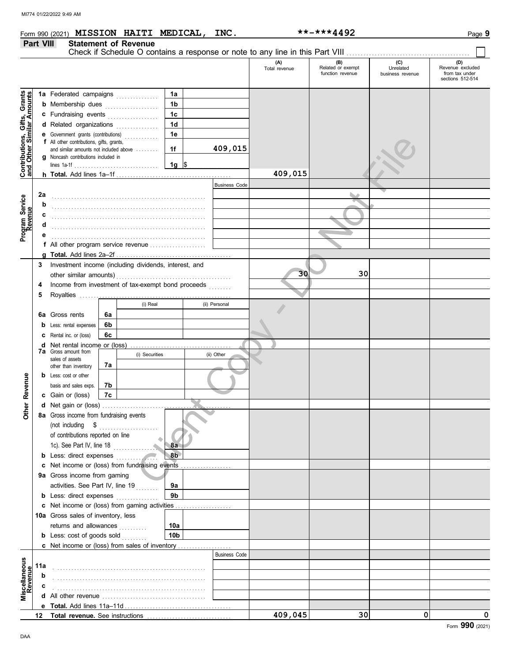**Part VIII Statement of Revenue**

|                                                           |     |                                                                                   |    |                |                 |         |                      | (A)<br>Total revenue | (B)<br>Related or exempt<br>function revenue | (C)<br>Unrelated<br>business revenue | (D)<br>Revenue excluded<br>from tax under<br>sections 512-514 |
|-----------------------------------------------------------|-----|-----------------------------------------------------------------------------------|----|----------------|-----------------|---------|----------------------|----------------------|----------------------------------------------|--------------------------------------|---------------------------------------------------------------|
|                                                           |     |                                                                                   |    |                | 1a              |         |                      |                      |                                              |                                      |                                                               |
| Contributions, Gifts, Grants<br>and Other Similar Amounts |     | 1a Federated campaigns<br><b>b</b> Membership dues<br>c Fundraising events        |    |                | 1 <sub>b</sub>  |         |                      |                      |                                              |                                      |                                                               |
|                                                           |     |                                                                                   |    |                | 1 <sub>c</sub>  |         |                      |                      |                                              |                                      |                                                               |
|                                                           |     | d Related organizations                                                           |    |                | 1 <sub>d</sub>  |         |                      |                      |                                              |                                      |                                                               |
|                                                           |     | .<br><b>e</b> Government grants (contributions)<br>.                              |    |                | 1e              |         |                      |                      |                                              |                                      |                                                               |
|                                                           |     | f All other contributions, gifts, grants,                                         |    |                |                 |         |                      |                      |                                              |                                      |                                                               |
|                                                           |     | and similar amounts not included above                                            |    |                | 1f              |         | 409,015              |                      |                                              |                                      |                                                               |
|                                                           |     | g Noncash contributions included in                                               |    |                | 1g $\vert$ \$   |         |                      |                      |                                              |                                      |                                                               |
|                                                           |     |                                                                                   |    |                |                 | 409,015 |                      |                      |                                              |                                      |                                                               |
|                                                           |     |                                                                                   |    |                |                 |         | <b>Business Code</b> |                      |                                              |                                      |                                                               |
|                                                           | 2a  |                                                                                   |    |                |                 |         |                      |                      |                                              |                                      |                                                               |
| Program Service<br>Revenue                                | b   |                                                                                   |    |                |                 |         |                      |                      |                                              |                                      |                                                               |
|                                                           |     |                                                                                   |    |                |                 |         |                      |                      |                                              |                                      |                                                               |
|                                                           |     |                                                                                   |    |                |                 |         |                      |                      |                                              |                                      |                                                               |
|                                                           |     |                                                                                   |    |                |                 |         |                      |                      |                                              |                                      |                                                               |
|                                                           |     | f All other program service revenue                                               |    |                |                 |         |                      |                      |                                              |                                      |                                                               |
|                                                           |     |                                                                                   |    |                |                 |         |                      |                      |                                              |                                      |                                                               |
|                                                           | 3   | Investment income (including dividends, interest, and                             |    |                |                 |         |                      |                      |                                              |                                      |                                                               |
|                                                           |     |                                                                                   |    |                |                 |         |                      | 30                   | 30                                           |                                      |                                                               |
|                                                           | 4   | Income from investment of tax-exempt bond proceeds                                |    |                |                 |         |                      |                      |                                              |                                      |                                                               |
|                                                           | 5   |                                                                                   |    |                |                 |         |                      |                      |                                              |                                      |                                                               |
|                                                           |     |                                                                                   |    | (i) Real       |                 |         | (ii) Personal        |                      |                                              |                                      |                                                               |
|                                                           |     | 6a Gross rents                                                                    | 6a |                |                 |         |                      |                      |                                              |                                      |                                                               |
|                                                           |     | <b>b</b> Less: rental expenses                                                    | 6b |                |                 |         |                      |                      |                                              |                                      |                                                               |
|                                                           |     | C Rental inc. or (loss)                                                           | 6c |                |                 |         |                      |                      |                                              |                                      |                                                               |
|                                                           |     | <b>d</b> Net rental income or (loss)<br><b>7a</b> Gross amount from               |    |                |                 |         |                      |                      |                                              |                                      |                                                               |
|                                                           |     | sales of assets                                                                   |    | (i) Securities |                 |         | (ii) Other           |                      |                                              |                                      |                                                               |
|                                                           |     | other than inventory                                                              | 7a |                |                 |         |                      |                      |                                              |                                      |                                                               |
|                                                           |     | <b>b</b> Less: cost or other                                                      |    |                |                 |         |                      |                      |                                              |                                      |                                                               |
|                                                           |     | basis and sales exps.                                                             | 7b |                |                 |         |                      |                      |                                              |                                      |                                                               |
| Other Revenue                                             |     | c Gain or (loss)                                                                  | 7c |                |                 |         |                      |                      |                                              |                                      |                                                               |
|                                                           |     |                                                                                   |    |                |                 |         |                      |                      |                                              |                                      |                                                               |
|                                                           |     | 8a Gross income from fundraising events                                           |    |                |                 |         |                      |                      |                                              |                                      |                                                               |
|                                                           |     | (not including \$<br>of contributions reported on line                            |    |                |                 |         |                      |                      |                                              |                                      |                                                               |
|                                                           |     |                                                                                   |    |                |                 |         |                      |                      |                                              |                                      |                                                               |
|                                                           |     | 1c). See Part IV, line 18<br>8a                                                   |    |                |                 |         |                      |                      |                                              |                                      |                                                               |
|                                                           |     | <b>b</b> Less: direct expenses                                                    |    |                | 8 <sub>b</sub>  |         |                      |                      |                                              |                                      |                                                               |
|                                                           |     | c Net income or (loss) from fundraising events                                    |    |                |                 |         |                      |                      |                                              |                                      |                                                               |
|                                                           |     | 9a Gross income from gaming                                                       |    |                |                 |         |                      |                      |                                              |                                      |                                                               |
|                                                           |     | activities. See Part IV, line 19<br><b>b</b> Less: direct expenses <i>minimum</i> |    |                | 9а<br>9b        |         |                      |                      |                                              |                                      |                                                               |
|                                                           |     | c Net income or (loss) from gaming activities                                     |    |                |                 |         |                      |                      |                                              |                                      |                                                               |
|                                                           |     | 10a Gross sales of inventory, less                                                |    |                |                 |         |                      |                      |                                              |                                      |                                                               |
|                                                           |     | returns and allowances                                                            |    |                | 10a             |         |                      |                      |                                              |                                      |                                                               |
|                                                           |     | <b>b</b> Less: cost of goods sold                                                 |    |                | 10 <sub>b</sub> |         |                      |                      |                                              |                                      |                                                               |
|                                                           |     |                                                                                   |    |                |                 |         |                      |                      |                                              |                                      |                                                               |
|                                                           |     |                                                                                   |    |                |                 |         | <b>Business Code</b> |                      |                                              |                                      |                                                               |
|                                                           | 11a |                                                                                   |    |                |                 |         |                      |                      |                                              |                                      |                                                               |
|                                                           | b   |                                                                                   |    |                |                 |         |                      |                      |                                              |                                      |                                                               |
|                                                           | c   |                                                                                   |    |                |                 |         |                      |                      |                                              |                                      |                                                               |
| Miscellaneous<br>Revenue                                  |     |                                                                                   |    |                |                 |         |                      |                      |                                              |                                      |                                                               |
|                                                           |     |                                                                                   |    |                |                 |         |                      |                      |                                              |                                      |                                                               |
|                                                           |     |                                                                                   |    |                |                 |         |                      | 409,045              | 30 <sup>1</sup>                              | 0                                    | 0                                                             |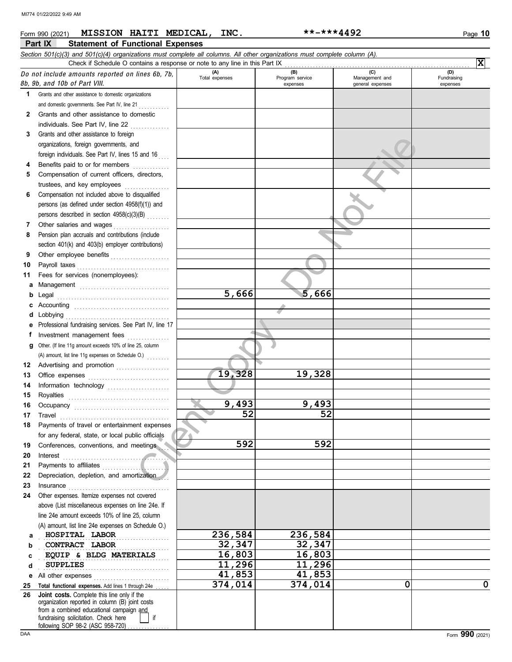|    | MISSION HAITI MEDICAL,<br>Form 990 (2021)                                                                                  | INC.                  | **-***4492             |                       | Page 10            |
|----|----------------------------------------------------------------------------------------------------------------------------|-----------------------|------------------------|-----------------------|--------------------|
|    | Part IX<br><b>Statement of Functional Expenses</b>                                                                         |                       |                        |                       |                    |
|    | Section 501(c)(3) and 501(c)(4) organizations must complete all columns. All other organizations must complete column (A). |                       |                        |                       |                    |
|    | Check if Schedule O contains a response or note to any line in this Part IX                                                |                       |                        |                       | $\mathbf{x}$       |
|    | Do not include amounts reported on lines 6b, 7b,                                                                           | (A)<br>Total expenses | (B)<br>Program service | (C)<br>Management and | (D)<br>Fundraising |
|    | 8b, 9b, and 10b of Part VIII.                                                                                              |                       | expenses               | general expenses      | expenses           |
| 1. | Grants and other assistance to domestic organizations                                                                      |                       |                        |                       |                    |
|    | and domestic governments. See Part IV, line 21                                                                             |                       |                        |                       |                    |
| 2  | Grants and other assistance to domestic                                                                                    |                       |                        |                       |                    |
|    | individuals. See Part IV, line 22                                                                                          |                       |                        |                       |                    |
| 3  | Grants and other assistance to foreign                                                                                     |                       |                        |                       |                    |
|    | organizations, foreign governments, and                                                                                    |                       |                        |                       |                    |
|    | foreign individuals. See Part IV, lines 15 and 16                                                                          |                       |                        |                       |                    |
| 4  | Benefits paid to or for members                                                                                            |                       |                        |                       |                    |
| 5  | Compensation of current officers, directors,                                                                               |                       |                        |                       |                    |
|    | trustees, and key employees                                                                                                |                       |                        |                       |                    |
| 6  | Compensation not included above to disqualified                                                                            |                       |                        |                       |                    |
|    | persons (as defined under section 4958(f)(1)) and                                                                          |                       |                        |                       |                    |
|    | persons described in section 4958(c)(3)(B)                                                                                 |                       |                        |                       |                    |
| 7  | Other salaries and wages                                                                                                   |                       |                        |                       |                    |
| 8  | Pension plan accruals and contributions (include                                                                           |                       |                        |                       |                    |
|    | section 401(k) and 403(b) employer contributions)                                                                          |                       |                        |                       |                    |
| 9  | Other employee benefits                                                                                                    |                       |                        |                       |                    |
| 10 | Payroll taxes                                                                                                              |                       |                        |                       |                    |
| 11 | Fees for services (nonemployees):                                                                                          |                       |                        |                       |                    |
| а  |                                                                                                                            |                       |                        |                       |                    |
| b  | Legal                                                                                                                      | 5,666                 | 5,666                  |                       |                    |
|    | Accounting                                                                                                                 |                       |                        |                       |                    |
|    | Lobbying                                                                                                                   |                       |                        |                       |                    |
|    | Professional fundraising services. See Part IV, line 17                                                                    |                       |                        |                       |                    |
| f  | Investment management fees                                                                                                 |                       |                        |                       |                    |
|    | Other. (If line 11g amount exceeds 10% of line 25, column                                                                  |                       |                        |                       |                    |
|    |                                                                                                                            |                       |                        |                       |                    |
| 12 | Advertising and promotion                                                                                                  |                       |                        |                       |                    |
| 13 |                                                                                                                            | 19,328                | 19,328                 |                       |                    |
| 14 |                                                                                                                            |                       |                        |                       |                    |
| 15 | Royalties                                                                                                                  |                       |                        |                       |                    |
|    | Occupancy                                                                                                                  | 9,493                 | 9,493                  |                       |                    |
| 17 | Travel                                                                                                                     | 52                    | 52                     |                       |                    |
| 18 | Payments of travel or entertainment expenses                                                                               |                       |                        |                       |                    |
|    | for any federal, state, or local public officials                                                                          |                       |                        |                       |                    |
| 19 | Conferences, conventions, and meetings                                                                                     | 592                   | 592                    |                       |                    |
| 20 | Interest                                                                                                                   |                       |                        |                       |                    |
| 21 | Payments to affiliates                                                                                                     |                       |                        |                       |                    |
| 22 | Depreciation, depletion, and amortization                                                                                  |                       |                        |                       |                    |
| 23 | Insurance                                                                                                                  |                       |                        |                       |                    |
| 24 | Other expenses. Itemize expenses not covered                                                                               |                       |                        |                       |                    |
|    | above (List miscellaneous expenses on line 24e. If                                                                         |                       |                        |                       |                    |
|    | line 24e amount exceeds 10% of line 25, column                                                                             |                       |                        |                       |                    |
|    | (A) amount, list line 24e expenses on Schedule O.)                                                                         |                       |                        |                       |                    |
| a  | HOSPITAL LABOR                                                                                                             | 236,584               | 236,584                |                       |                    |
| b  | CONTRACT LABOR                                                                                                             | 32,347                | 32,347                 |                       |                    |
| c  | EQUIP & BLDG MATERIALS                                                                                                     | 16,803                | 16,803                 |                       |                    |
| d  | <b>SUPPLIES</b><br>.                                                                                                       | 11,296                | 11,296                 |                       |                    |
| е  | All other expenses                                                                                                         | 41,853                | 41,853                 |                       |                    |
| 25 | Total functional expenses. Add lines 1 through 24e                                                                         | 374,014               | 374,014                | 0                     | $\mathbf 0$        |
| 26 | Joint costs. Complete this line only if the                                                                                |                       |                        |                       |                    |
|    | organization reported in column (B) joint costs<br>from a combined educational campaign and                                |                       |                        |                       |                    |

fundraising solicitation. Check here | | if

following SOP 98-2 (ASC 958-720) . . . . . . . . . . . . . .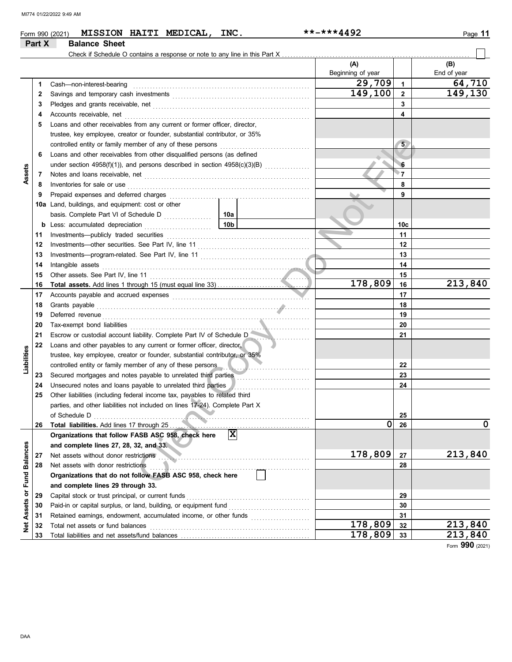| Part X                     | <b>Balance Sheet</b>                                                                                                                                                                                                           |                 |                          |         |                    |
|----------------------------|--------------------------------------------------------------------------------------------------------------------------------------------------------------------------------------------------------------------------------|-----------------|--------------------------|---------|--------------------|
|                            |                                                                                                                                                                                                                                |                 |                          |         |                    |
|                            |                                                                                                                                                                                                                                |                 |                          |         |                    |
|                            |                                                                                                                                                                                                                                |                 | (A)<br>Beginning of year |         | (B)<br>End of year |
| 1                          | Cash-non-interest-bearing                                                                                                                                                                                                      | 29,709          | $\mathbf 1$              | 64,710  |                    |
| 2                          |                                                                                                                                                                                                                                | 149,100         | $\overline{2}$           | 149,130 |                    |
| З                          |                                                                                                                                                                                                                                |                 | 3                        |         |                    |
| 4                          | Accounts receivable, net                                                                                                                                                                                                       |                 | $\overline{\mathbf{4}}$  |         |                    |
| 5                          | Loans and other receivables from any current or former officer, director,                                                                                                                                                      |                 |                          |         |                    |
|                            | trustee, key employee, creator or founder, substantial contributor, or 35%                                                                                                                                                     |                 |                          |         |                    |
|                            |                                                                                                                                                                                                                                |                 | $5\phantom{.0}$          |         |                    |
| 6                          | Loans and other receivables from other disqualified persons (as defined                                                                                                                                                        |                 |                          |         |                    |
|                            | under section 4958(f)(1)), and persons described in section $4958(c)(3)(B)$                                                                                                                                                    | $\sqrt{6}$      |                          |         |                    |
| Assets<br>7                |                                                                                                                                                                                                                                |                 | $\mathbf{z}$             |         |                    |
| 8                          | Inventories for sale or use                                                                                                                                                                                                    | 8               |                          |         |                    |
| 9                          | Prepaid expenses and deferred charges                                                                                                                                                                                          |                 |                          | 9       |                    |
|                            | 10a Land, buildings, and equipment: cost or other                                                                                                                                                                              |                 |                          |         |                    |
|                            |                                                                                                                                                                                                                                |                 |                          |         |                    |
| b                          | Less: accumulated depreciation                                                                                                                                                                                                 | 10 <sub>b</sub> |                          | 10с     |                    |
| 11                         | Investments-publicly traded securities                                                                                                                                                                                         |                 |                          | 11      |                    |
| 12                         | Investments—other securities. See Part IV, line 11                                                                                                                                                                             |                 |                          | 12      |                    |
| 13                         |                                                                                                                                                                                                                                |                 |                          | 13      |                    |
| 14                         | Intangible assets                                                                                                                                                                                                              |                 |                          | 14      |                    |
| 15                         |                                                                                                                                                                                                                                |                 |                          | 15      |                    |
| 16                         |                                                                                                                                                                                                                                |                 | 178,809                  | 16      | 213,840            |
| 17                         |                                                                                                                                                                                                                                |                 |                          | 17      |                    |
| 18                         |                                                                                                                                                                                                                                |                 |                          | 18      |                    |
| 19                         | Deferred revenue contains and all the container and all the container and all the container and all the containing of the containing of the containing of the containing of the containing of the containing of the containing |                 |                          | 19      |                    |
| 20                         | Tax-exempt bond liabilities                                                                                                                                                                                                    |                 |                          | 20      |                    |
| 21                         | Escrow or custodial account liability. Complete Part IV of Schedule D                                                                                                                                                          |                 |                          | 21      |                    |
| 22                         | Loans and other payables to any current or former officer, director,                                                                                                                                                           |                 |                          |         |                    |
| Liabilities                | trustee, key employee, creator or founder, substantial contributor, or 35%                                                                                                                                                     |                 |                          |         |                    |
|                            | controlled entity or family member of any of these persons                                                                                                                                                                     |                 | 22                       |         |                    |
| 23                         |                                                                                                                                                                                                                                |                 | 23                       |         |                    |
| 24                         | Unsecured notes and loans payable to unrelated third parties                                                                                                                                                                   |                 |                          | 24      |                    |
| 25                         | Other liabilities (including federal income tax, payables to related third                                                                                                                                                     |                 |                          |         |                    |
|                            | parties, and other liabilities not included on lines 17-24). Complete Part X                                                                                                                                                   |                 |                          |         |                    |
|                            | of Schedule D                                                                                                                                                                                                                  |                 |                          | 25      |                    |
| 26                         |                                                                                                                                                                                                                                |                 | 0                        | 26      | 0                  |
|                            | Organizations that follow FASB ASC 958, check here                                                                                                                                                                             | $ \mathbf{x} $  |                          |         |                    |
|                            | and complete lines 27, 28, 32, and 33.                                                                                                                                                                                         |                 |                          |         |                    |
| 27                         | Net assets without donor restrictions                                                                                                                                                                                          |                 | 178,809                  | 27      | 213,840            |
| <b>Fund Balances</b><br>28 | Net assets with donor restrictions                                                                                                                                                                                             |                 |                          | 28      |                    |
|                            | Organizations that do not follow FASB ASC 958, check here                                                                                                                                                                      |                 |                          |         |                    |
|                            | and complete lines 29 through 33.                                                                                                                                                                                              |                 |                          |         |                    |
| 29                         | Capital stock or trust principal, or current funds                                                                                                                                                                             |                 |                          | 29      |                    |
| 30                         | Paid-in or capital surplus, or land, building, or equipment fund                                                                                                                                                               |                 |                          | 30      |                    |
| 31                         | Retained earnings, endowment, accumulated income, or other funds                                                                                                                                                               |                 |                          | 31      |                    |
| Net Assets or<br>32        | Total net assets or fund balances                                                                                                                                                                                              |                 | 178,809                  | 32      | 213,840            |
| 33                         |                                                                                                                                                                                                                                |                 | 178,809                  | 33      | 213,840            |

Form **990** (2021)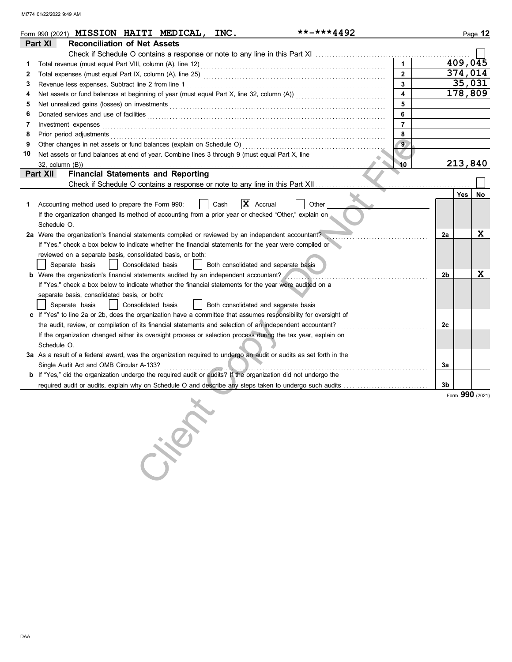MI774 01/22/2022 9:49 AM

|    | **-***4492<br>Form 990 (2021) <b>MISSION HAITI MEDICAL,</b><br>INC.                                                                                                                                                                 |    |         | Page 12         |
|----|-------------------------------------------------------------------------------------------------------------------------------------------------------------------------------------------------------------------------------------|----|---------|-----------------|
|    | Part XI<br><b>Reconciliation of Net Assets</b>                                                                                                                                                                                      |    |         |                 |
|    |                                                                                                                                                                                                                                     |    |         |                 |
| 1  | $\mathbf{1}$                                                                                                                                                                                                                        |    | 409,045 |                 |
| 2  | $\overline{2}$                                                                                                                                                                                                                      |    | 374,014 |                 |
| 3  | 3<br>Revenue less expenses. Subtract line 2 from line 1                                                                                                                                                                             |    | 35,031  |                 |
| 4  | $\overline{\mathbf{4}}$                                                                                                                                                                                                             |    | 178,809 |                 |
| 5  | 5                                                                                                                                                                                                                                   |    |         |                 |
| 6  | 6<br>Donated services and use of facilities <b>constants and interview of facilities</b>                                                                                                                                            |    |         |                 |
| 7  | $\overline{7}$<br>Investment expenses                                                                                                                                                                                               |    |         |                 |
| 8  | 8<br>Prior period adjustments entertainments and a statements of the statement of the statements of the statements of the statement of the statement of the statements of the statement of the statement of the statement of the st |    |         |                 |
| 9  | Other changes in net assets or fund balances (explain on Schedule O)<br>9                                                                                                                                                           |    |         |                 |
| 10 | Net assets or fund balances at end of year. Combine lines 3 through 9 (must equal Part X, line                                                                                                                                      |    |         |                 |
|    | 10<br>32, column (B))                                                                                                                                                                                                               |    | 213,840 |                 |
|    | <b>Financial Statements and Reporting</b><br>Part XII                                                                                                                                                                               |    |         |                 |
|    | Check if Schedule O contains a response or note to any line in this Part XII                                                                                                                                                        |    |         |                 |
|    |                                                                                                                                                                                                                                     |    | Yes     | No              |
| 1. | X<br>Other<br>Accounting method used to prepare the Form 990:<br>Cash<br>Accrual                                                                                                                                                    |    |         |                 |
|    | If the organization changed its method of accounting from a prior year or checked "Other," explain on                                                                                                                               |    |         |                 |
|    | Schedule O.                                                                                                                                                                                                                         |    |         |                 |
|    | 2a Were the organization's financial statements compiled or reviewed by an independent accountant?                                                                                                                                  | 2a |         | X               |
|    | If "Yes," check a box below to indicate whether the financial statements for the year were compiled or                                                                                                                              |    |         |                 |
|    | reviewed on a separate basis, consolidated basis, or both:                                                                                                                                                                          |    |         |                 |
|    | Separate basis<br>Consolidated basis<br>Both consolidated and separate basis                                                                                                                                                        |    |         |                 |
|    | <b>b</b> Were the organization's financial statements audited by an independent accountant?                                                                                                                                         | 2b |         | X               |
|    | If "Yes," check a box below to indicate whether the financial statements for the year were audited on a                                                                                                                             |    |         |                 |
|    | separate basis, consolidated basis, or both:                                                                                                                                                                                        |    |         |                 |
|    | Consolidated basis<br>Both consolidated and separate basis<br>Separate basis                                                                                                                                                        |    |         |                 |
|    | c If "Yes" to line 2a or 2b, does the organization have a committee that assumes responsibility for oversight of                                                                                                                    |    |         |                 |
|    | the audit, review, or compilation of its financial statements and selection of an independent accountant?                                                                                                                           | 2c |         |                 |
|    | If the organization changed either its oversight process or selection process during the tax year, explain on<br>Schedule O.                                                                                                        |    |         |                 |
|    | 3a As a result of a federal award, was the organization required to undergo an audit or audits as set forth in the                                                                                                                  |    |         |                 |
|    | Single Audit Act and OMB Circular A-133?                                                                                                                                                                                            | За |         |                 |
|    | <b>b</b> If "Yes," did the organization undergo the required audit or audits? If the organization did not undergo the                                                                                                               |    |         |                 |
|    | required audit or audits, explain why on Schedule O and describe any steps taken to undergo such audits                                                                                                                             | 3b |         |                 |
|    |                                                                                                                                                                                                                                     |    |         | Form 990 (2021) |
|    | Crient                                                                                                                                                                                                                              |    |         |                 |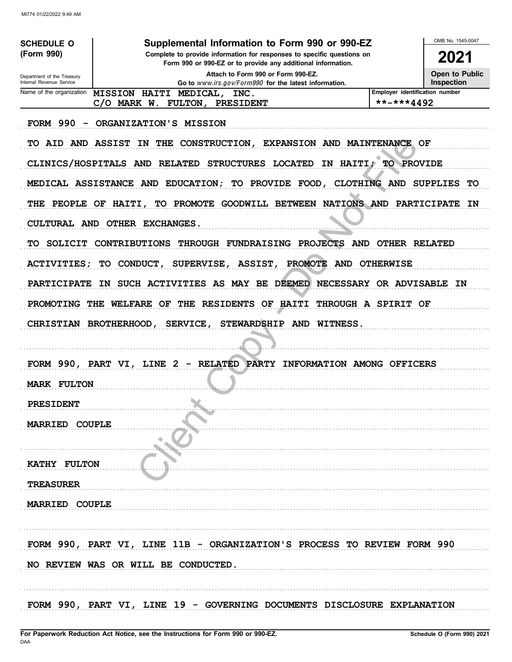MI774 01/22/2022 9:49 AM

| <b>SCHEDULE O</b>                                    | Supplemental Information to Form 990 or 990-EZ                                                                                         |                                | OMB No. 1545-0047     |
|------------------------------------------------------|----------------------------------------------------------------------------------------------------------------------------------------|--------------------------------|-----------------------|
| (Form 990)                                           | Complete to provide information for responses to specific questions on<br>Form 990 or 990-EZ or to provide any additional information. |                                | 2021                  |
| Department of the Treasury                           | Attach to Form 990 or Form 990-EZ.                                                                                                     |                                | <b>Open to Public</b> |
| Internal Revenue Service<br>Name of the organization | Go to www.irs.gov/Form990 for the latest information.                                                                                  | Employer identification number | <b>Inspection</b>     |
|                                                      | MISSION HAITI MEDICAL, INC.<br>$C/O$ MARK W.<br><b>FULTON,</b><br><b>PRESIDENT</b>                                                     | **-***4492                     |                       |
|                                                      |                                                                                                                                        |                                |                       |
| <b>FORM 990</b>                                      | ORGANIZATION'S MISSION                                                                                                                 |                                |                       |
| AID AND ASSIST<br>TO.                                | IN THE CONSTRUCTION, EXPANSION AND MAINTENANCE OF                                                                                      |                                |                       |
|                                                      | CLINICS/HOSPITALS AND<br>RELATED STRUCTURES LOCATED<br>IN HAITI,                                                                       | TO PROVIDE                     |                       |
|                                                      | MEDICAL ASSISTANCE AND EDUCATION; TO PROVIDE FOOD, CLOTHING AND SUPPLIES                                                               |                                | TО                    |
| THE                                                  | TO PROMOTE GOODWILL BETWEEN NATIONS AND PARTICIPATE<br>PEOPLE OF HAITI,                                                                |                                | - IN                  |
|                                                      | CULTURAL AND OTHER EXCHANGES.                                                                                                          |                                |                       |
| TО                                                   | THROUGH FUNDRAISING PROJECTS<br>SOLICIT CONTRIBUTIONS                                                                                  | AND OTHER RELATED              |                       |
| <b>ACTIVITIES;</b>                                   | <b>PROMOTE</b><br>SUPERVISE, ASSIST,<br>TO CONDUCT,                                                                                    | AND OTHERWISE                  |                       |
| <b>PARTICIPATE</b>                                   | IN SUCH ACTIVITIES AS MAY BE DEEMED NECESSARY OR ADVISABLE IN                                                                          |                                |                       |
|                                                      | THE RESIDENTS OF HAITI THROUGH A SPIRIT OF<br>PROMOTING THE WELFARE OF                                                                 |                                |                       |
|                                                      | SERVICE, STEWARDSHIP AND WITNESS.<br>CHRISTIAN BROTHERHOOD,                                                                            |                                |                       |
|                                                      |                                                                                                                                        |                                |                       |
|                                                      | FORM 990, PART VI, LINE 2 - RELATED PARTY INFORMATION AMONG OFFICERS                                                                   |                                |                       |
| <b>MARK FULTON</b>                                   |                                                                                                                                        |                                |                       |
| PRESIDENT                                            | <b>Marine</b>                                                                                                                          |                                |                       |
| <b>MARRIED COUPLE</b>                                |                                                                                                                                        |                                |                       |
|                                                      |                                                                                                                                        |                                |                       |
| <b>KATHY FULTON</b>                                  |                                                                                                                                        |                                |                       |
| <b>TREASURER</b>                                     |                                                                                                                                        |                                |                       |
| <b>MARRIED COUPLE</b>                                |                                                                                                                                        |                                |                       |
|                                                      | FORM 990, PART VI, LINE 11B - ORGANIZATION'S PROCESS TO REVIEW FORM 990                                                                |                                |                       |
|                                                      | NO REVIEW WAS OR WILL BE CONDUCTED.                                                                                                    |                                |                       |
|                                                      |                                                                                                                                        |                                |                       |
|                                                      | FORM 990, PART VI, LINE 19 - GOVERNING DOCUMENTS DISCLOSURE EXPLANATION                                                                |                                |                       |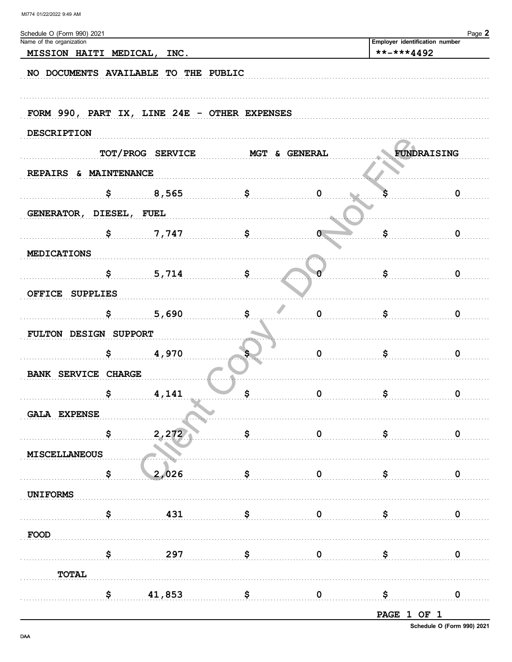| Schedule O (Form 990) 2021<br>Name of the organization |                  |                                              |              |                                              | Page 2           |
|--------------------------------------------------------|------------------|----------------------------------------------|--------------|----------------------------------------------|------------------|
| MISSION HAITI MEDICAL, INC.                            |                  |                                              |              | Employer identification number<br>**-***4492 |                  |
|                                                        |                  |                                              |              |                                              |                  |
| NO DOCUMENTS AVAILABLE TO THE PUBLIC                   |                  |                                              |              |                                              |                  |
|                                                        |                  |                                              |              |                                              |                  |
|                                                        |                  | FORM 990, PART IX, LINE 24E - OTHER EXPENSES |              |                                              |                  |
| <b>DESCRIPTION</b>                                     |                  |                                              |              |                                              |                  |
|                                                        |                  |                                              |              |                                              |                  |
|                                                        | TOT/PROG SERVICE | <b>MGT &amp; GENERAL</b>                     |              |                                              | FUNDRAISING      |
| REPAIRS & MAINTENANCE                                  |                  |                                              |              |                                              |                  |
|                                                        | \$<br>8,565      | \$                                           | $\mathbf 0$  |                                              | $\mathbf 0$      |
| GENERATOR, DIESEL, FUEL                                |                  |                                              |              |                                              |                  |
|                                                        | \$<br>7,747      | \$                                           | $\mathbf{0}$ | \$                                           | 0                |
|                                                        |                  |                                              |              |                                              |                  |
| <b>MEDICATIONS</b>                                     |                  |                                              |              |                                              |                  |
|                                                        | \$<br>5,714      | \$                                           |              | \$                                           | $\mathbf 0$      |
| OFFICE SUPPLIES                                        |                  |                                              |              |                                              |                  |
|                                                        | \$<br>5,690      | \$                                           | $\mathbf 0$  | \$                                           | $\mathbf 0$      |
| FULTON DESIGN SUPPORT                                  |                  |                                              |              |                                              |                  |
|                                                        | \$<br>4,970      |                                              | $\mathbf 0$  | \$                                           | 0                |
|                                                        |                  |                                              |              |                                              |                  |
| BANK SERVICE CHARGE                                    |                  |                                              |              |                                              |                  |
|                                                        | \$<br>4,141      | \$                                           | $\mathbf 0$  | \$                                           | $\mathbf 0$      |
| <b>GALA EXPENSE</b>                                    |                  |                                              |              |                                              |                  |
|                                                        | \$<br>2,272      | \$                                           | $\mathbf 0$  | \$                                           | $\boldsymbol{0}$ |
| <b>MISCELLANEOUS</b>                                   |                  |                                              |              |                                              |                  |
|                                                        |                  |                                              |              |                                              |                  |
|                                                        | \$<br>2,026      | \$                                           | $\mathbf 0$  | \$                                           | 0                |
| <b>UNIFORMS</b>                                        |                  |                                              |              |                                              |                  |
|                                                        | \$<br>431        | \$                                           | $\mathbf 0$  | \$                                           | 0                |
| FOOD                                                   |                  |                                              |              |                                              |                  |
|                                                        | \$<br>297        | \$                                           | $\mathbf 0$  | \$                                           | 0                |
|                                                        |                  |                                              |              |                                              |                  |
| <b>TOTAL</b>                                           |                  |                                              |              |                                              |                  |
|                                                        | \$<br>41,853     | \$                                           | $\mathbf 0$  | \$                                           | $\boldsymbol{0}$ |
|                                                        |                  |                                              |              | <b>PAGE 1 OF 1</b>                           |                  |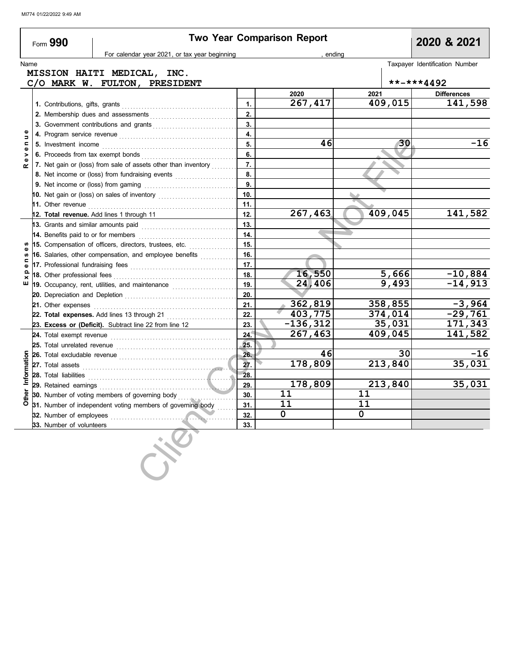|             | Form 990                            |                                                                                                                                                                                                                                     |          | <b>Two Year Comparison Report</b> |             |            | 2020 & 2021                    |  |
|-------------|-------------------------------------|-------------------------------------------------------------------------------------------------------------------------------------------------------------------------------------------------------------------------------------|----------|-----------------------------------|-------------|------------|--------------------------------|--|
|             |                                     | For calendar year 2021, or tax year beginning                                                                                                                                                                                       |          | , ending                          |             |            |                                |  |
| Name        |                                     | MISSION HAITI MEDICAL, INC.                                                                                                                                                                                                         |          |                                   |             |            | Taxpayer Identification Number |  |
|             |                                     | C/O MARK W. FULTON, PRESIDENT                                                                                                                                                                                                       |          |                                   |             | **-***4492 |                                |  |
|             |                                     |                                                                                                                                                                                                                                     |          | 2020                              | 2021        |            | <b>Differences</b>             |  |
|             |                                     |                                                                                                                                                                                                                                     | 1.       | 267,417                           |             | 409,015    | 141,598                        |  |
|             |                                     | 2. Membership dues and assessments                                                                                                                                                                                                  | 2.       |                                   |             |            |                                |  |
|             |                                     | 3. Government contributions and grants                                                                                                                                                                                              | 3.       |                                   |             |            |                                |  |
|             |                                     |                                                                                                                                                                                                                                     | 4.       |                                   |             |            |                                |  |
| Φ<br>Б<br>Ξ |                                     |                                                                                                                                                                                                                                     |          | 46                                |             | 30         | $-16$                          |  |
|             | 6. Proceeds from tax exempt bonds   |                                                                                                                                                                                                                                     | 5.<br>6. |                                   |             |            |                                |  |
|             |                                     | 7. Net gain or (loss) from sale of assets other than inventory                                                                                                                                                                      | 7.       |                                   |             |            |                                |  |
|             |                                     | 8. Net income or (loss) from fundraising events                                                                                                                                                                                     | 8.       |                                   |             |            |                                |  |
|             |                                     |                                                                                                                                                                                                                                     | 9.       |                                   |             |            |                                |  |
|             |                                     | 10. Net gain or (loss) on sales of inventory                                                                                                                                                                                        | 10.      |                                   |             |            |                                |  |
|             |                                     | 11. Other revenue <b>11. Installation</b> of the revenue of the set of the set of the set of the set of the set of the set of the set of the set of the set of the set of the set of the set of the set of the set of the set of th | 11.      |                                   |             |            |                                |  |
|             |                                     | 12. Total revenue. Add lines 1 through 11                                                                                                                                                                                           | 12.      | 267,463                           |             | 409,045    | 141,582                        |  |
|             | 13. Grants and similar amounts paid |                                                                                                                                                                                                                                     | 13.      |                                   |             |            |                                |  |
|             | 14. Benefits paid to or for members |                                                                                                                                                                                                                                     | 14.      |                                   |             |            |                                |  |
|             |                                     | 15. Compensation of officers, directors, trustees, etc.                                                                                                                                                                             | 15.      |                                   |             |            |                                |  |
|             |                                     | 16. Salaries, other compensation, and employee benefits                                                                                                                                                                             | 16.      |                                   |             |            |                                |  |
|             |                                     | 17. Professional fundraising fees <b>constructs</b> and a resonance of the set of the set of the set of the set of the                                                                                                              | 17.      |                                   |             |            |                                |  |
|             | 18. Other professional fees         |                                                                                                                                                                                                                                     | 18.      | 16,550                            |             | 5,666      | $-10,884$                      |  |
|             |                                     | 19. Occupancy, rent, utilities, and maintenance <i>minimizoralism</i>                                                                                                                                                               | 19.      | 24,406                            |             | 9,493      | $-14,913$                      |  |
|             |                                     |                                                                                                                                                                                                                                     | 20.      |                                   |             |            |                                |  |
|             |                                     | 21. Other expenses <b>construction</b> and the construction of the construction of the construction of the construction of the construction of the construction of the construction of the construction of the construction of the  | 21.      | 362,819                           |             | 358,855    | $-3,964$                       |  |
|             |                                     | 22. Total expenses. Add lines 13 through 21                                                                                                                                                                                         | 22.      | 403,775                           |             | 374,014    | $-29,761$                      |  |
|             |                                     | 23. Excess or (Deficit). Subtract line 22 from line 12                                                                                                                                                                              | 23.      | $-136,312$                        |             | 35,031     | 171,343                        |  |
|             |                                     | 24. Total exempt revenue <b>constant in the constant of the constant in the 24.</b>                                                                                                                                                 | 24.      | 267,463                           |             | 409,045    | 141,582                        |  |
|             | 25. Total unrelated revenue         |                                                                                                                                                                                                                                     | 25.      |                                   |             |            |                                |  |
| Information |                                     | 26. Total excludable revenue <i>communically</i> contained a set of the set of the set of the set of the set of the set of the set of the set of the set of the set of the set of the set of the set of the set of the set of the s | 26.      | 46                                |             | 30         | $-16$                          |  |
|             |                                     | 27. Total assets <b>continues and all assets</b> and asset of the continues and all all all all all all all all all a                                                                                                               | 27.      | 178,809                           |             | 213,840    | 35,031                         |  |
|             | 28. Total liabilities               |                                                                                                                                                                                                                                     | 28.      |                                   |             |            |                                |  |
|             | 29. Retained earnings               |                                                                                                                                                                                                                                     | 29.      | 178,809                           |             | 213,840    | 35,031                         |  |
|             |                                     | 30. Number of voting members of governing body                                                                                                                                                                                      | 30.      | 11                                | 11          |            |                                |  |
|             |                                     | 31. Number of independent voting members of governing body                                                                                                                                                                          | 31.      | 11                                | 11          |            |                                |  |
|             | 32. Number of employees             |                                                                                                                                                                                                                                     | 32.      | $\mathbf 0$                       | $\mathbf 0$ |            |                                |  |
|             |                                     |                                                                                                                                                                                                                                     | 33.      |                                   |             |            |                                |  |